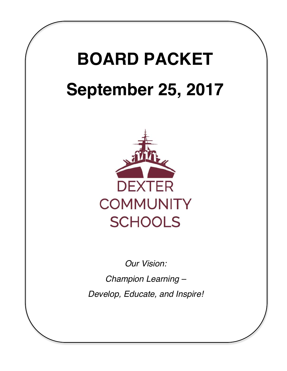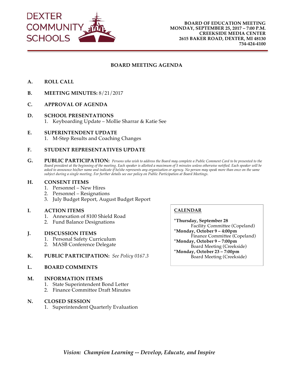

#### **BOARD MEETING AGENDA**

- **A. ROLL CALL**
- **B. MEETING MINUTES:** 8/21/2017
- **C. APPROVAL OF AGENDA**
- **D. SCHOOL PRESENTATIONS** 1. Keyboarding Update – Mollie Sharrar & Katie See
- **E. SUPERINTENDENT UPDATE** 1. M-Step Results and Coaching Changes

#### **F. STUDENT REPRESENTATIVES UPDATE**

**G. PUBLIC PARTICIPATION:** *Persons who wish to address the Board may complete a Public Comment Card to be presented to the Board president at the beginning of the meeting. Each speaker is allotted a maximum of 5 minutes unless otherwise notified. Each speaker will be asked to announce his/her name and indicate if he/she represents any organization or agency. No person may speak more than once on the same subject during a single meeting. For further details see our policy on Public Participation at Board Meetings.* 

#### **H. CONSENT ITEMS**

- 1. Personnel New Hires
- 2. Personnel Resignations
- 3. July Budget Report, August Budget Report

#### **I. ACTION ITEMS**

- 1. Annexation of 8100 Shield Road
- 2. Fund Balance Designations

#### **J. DISCUSSION ITEMS**

- 1. Personal Safety Curriculum
- 2. MASB Conference Delegate
- **K. PUBLIC PARTICIPATION:** *See Policy 0167.3*

#### **L. BOARD COMMENTS**

#### **M. INFORMATION ITEMS**

- 1. State Superintendent Bond Letter
- 2. Finance Committee Draft Minutes

#### **N. CLOSED SESSION**

1. Superintendent Quarterly Evaluation

#### **CALENDAR**

**\*Thursday, September 28** Facility Committee (Copeland) **\*Monday, October 9 – 4:00pm** Finance Committee (Copeland) **\*Monday, October 9 – 7:00pm** Board Meeting (Creekside) **\*Monday, October 23 – 7:00pm** Board Meeting (Creekside)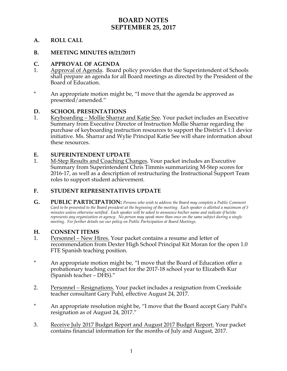## **BOARD NOTES SEPTEMBER 25, 2017**

## **A. ROLL CALL**

## **B. MEETING MINUTES (8/21/2017)**

### **C. APPROVAL OF AGENDA**

- 1. Approval of Agenda. Board policy provides that the Superintendent of Schools shall prepare an agenda for all Board meetings as directed by the President of the Board of Education.
- \* An appropriate motion might be, "I move that the agenda be approved as presented/amended."

### **D. SCHOOL PRESENTATIONS**

1. Keyboarding – Mollie Sharrar and Katie See. Your packet includes an Executive Summary from Executive Director of Instruction Mollie Sharrar regarding the purchase of keyboarding instruction resources to support the District's 1:1 device initiative. Ms. Sharrar and Wylie Principal Katie See will share information about these resources.

### **E. SUPERINTENDENT UPDATE**

1. M-Step Results and Coaching Changes. Your packet includes an Executive Summary from Superintendent Chris Timmis summarizing M-Step scores for 2016-17, as well as a description of restructuring the Instructional Support Team roles to support student achievement.

## **F. STUDENT REPRESENTATIVES UPDATE**

**G. PUBLIC PARTICIPATION:** *Persons who wish to address the Board may complete a Public Comment Card to be presented to the Board president at the beginning of the meeting. Each speaker is allotted a maximum of 5 minutes unless otherwise notified. Each speaker will be asked to announce his/her name and indicate if he/she represents any organization or agency. No person may speak more than once on the same subject during a single meeting. For further details see our policy on Public Participation at Board Meetings.*

### **H. CONSENT ITEMS**

- 1. Personnel New Hires. Your packet contains a resume and letter of recommendation from Dexter High School Principal Kit Moran for the open 1.0 FTE Spanish teaching position.
- \* An appropriate motion might be, "I move that the Board of Education offer a probationary teaching contract for the 2017-18 school year to Elizabeth Kur (Spanish teacher – DHS)."
- 2. Personnel Resignations. Your packet includes a resignation from Creekside teacher consultant Gary Puhl, effective August 24, 2017.
- \* An appropriate resolution might be, "I move that the Board accept Gary Puhl's resignation as of August 24, 2017."
- 3. Receive July 2017 Budget Report and August 2017 Budget Report. Your packet contains financial information for the months of July and August, 2017.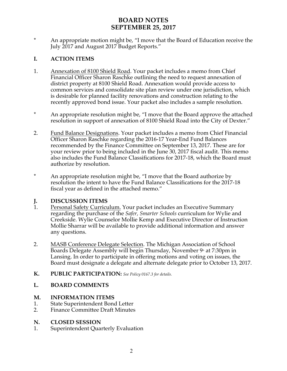## **BOARD NOTES SEPTEMBER 25, 2017**

\* An appropriate motion might be, "I move that the Board of Education receive the July 2017 and August 2017 Budget Reports."

## **I. ACTION ITEMS**

- 1. Annexation of 8100 Shield Road. Your packet includes a memo from Chief Financial Officer Sharon Raschke outlining the need to request annexation of district property at 8100 Shield Road. Annexation would provide access to common services and consolidate site plan review under one jurisdiction, which is desirable for planned facility renovations and construction relating to the recently approved bond issue. Your packet also includes a sample resolution.
- \* An appropriate resolution might be, "I move that the Board approve the attached resolution in support of annexation of 8100 Shield Road into the City of Dexter."
- 2. Eund Balance Designations. Your packet includes a memo from Chief Financial Officer Sharon Raschke regarding the 2016-17 Year-End Fund Balances recommended by the Finance Committee on September 13, 2017. These are for your review prior to being included in the June 30, 2017 fiscal audit. This memo also includes the Fund Balance Classifications for 2017-18, which the Board must authorize by resolution.
- \* An appropriate resolution might be, "I move that the Board authorize by resolution the intent to have the Fund Balance Classifications for the 2017-18 fiscal year as defined in the attached memo."

# **J. DISCUSSION ITEMS**<br>1. **Personal Safety Curricu**

- Personal Safety Curriculum. Your packet includes an Executive Summary regarding the purchase of the *Safer, Smarter Schools* curriculum for Wylie and Creekside. Wylie Counselor Mollie Kemp and Executive Director of Instruction Mollie Sharrar will be available to provide additional information and answer any questions.
- 2. MASB Conference Delegate Selection. The Michigan Association of School Boards Delegate Assembly will begin Thursday, November  $9^{\circ}$  at 7:30pm in Lansing. In order to participate in offering motions and voting on issues, the Board must designate a delegate and alternate delegate prior to October 13, 2017.

## **K. PUBLIC PARTICIPATION:** *See Policy 0167.3 for details.*

## **L. BOARD COMMENTS**

## **M. INFORMATION ITEMS**

- 1. State Superintendent Bond Letter<br>2. Finance Committee Draft Minutes
- 2. Finance Committee Draft Minutes

## **N. CLOSED SESSION**

1. Superintendent Quarterly Evaluation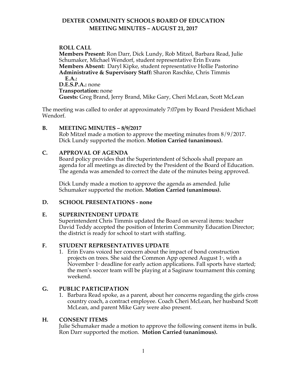## **DEXTER COMMUNITY SCHOOLS BOARD OF EDUCATION MEETING MINUTES – AUGUST 21, 2017**

## **A. ROLL CALL**

**Members Present:** Ron Darr, Dick Lundy, Rob Mitzel, Barbara Read, Julie Schumaker, Michael Wendorf, student representative Erin Evans **Members Absent:** Daryl Kipke, student representative Hollie Pastorino **Administrative & Supervisory Staff:** Sharon Raschke, Chris Timmis **D.E.A.: D.E.S.P.A.:** none **Transportation:** none **Guests:** Greg Brand, Jerry Brand, Mike Gary, Cheri McLean, Scott McLean

The meeting was called to order at approximately 7:07pm by Board President Michael Wendorf.

## **B. MEETING MINUTES – 8/9/2017**

Rob Mitzel made a motion to approve the meeting minutes from 8/9/2017. Dick Lundy supported the motion. **Motion Carried (unanimous).**

### **C. APPROVAL OF AGENDA**

Board policy provides that the Superintendent of Schools shall prepare an agenda for all meetings as directed by the President of the Board of Education. The agenda was amended to correct the date of the minutes being approved.

Dick Lundy made a motion to approve the agenda as amended. Julie Schumaker supported the motion. **Motion Carried (unanimous).**

## **D. SCHOOL PRESENTATIONS - none**

### **E. SUPERINTENDENT UPDATE**

Superintendent Chris Timmis updated the Board on several items: teacher David Teddy accepted the position of Interim Community Education Director; the district is ready for school to start with staffing.

## **F. STUDENT REPRESENTATIVES UPDATE**

1. Erin Evans voiced her concern about the impact of bond construction projects on trees. She said the Common App opened August  $1<sup>*</sup>$ , with a November 1<sup>*s*</sup> deadline for early action applications. Fall sports have started; the men's soccer team will be playing at a Saginaw tournament this coming weekend.

## **G. PUBLIC PARTICIPATION**

1. Barbara Read spoke, as a parent, about her concerns regarding the girls cross country coach, a contract employee. Coach Cheri McLean, her husband Scott McLean, and parent Mike Gary were also present.

### **H. CONSENT ITEMS**

Julie Schumaker made a motion to approve the following consent items in bulk. Ron Darr supported the motion. **Motion Carried (unanimous).**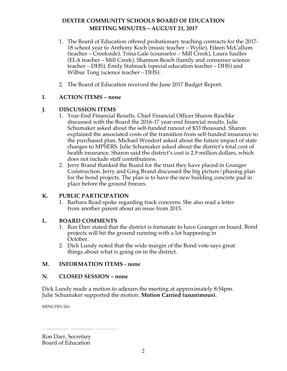## **DEXTER COMMUNITY SCHOOLS BOARD OF EDUCATION MEETING MINUTES – AUGUST 21, 2017**

- 1. The Board of Education offered probationary teaching contracts for the 2017- 18 school year to Anthony Koch (music teacher – Wylie), Eileen McCallum (teacher – Creekside), Trina Gale (counselor – Mill Creek), Laura Saulles (ELA teacher – Mill Creek), Shannon Beach (family and consumer science teacher – DHS), Emily Stalmack (special education teacher – DHS) and Wilbur Tong (science teacher – DHS).
- 2. The Board of Education received the June 2017 Budget Report.

## **I. ACTION ITEMS – none**

## **J. DISCUSSION ITEMS**

- 1. Year-End Financial Results. Chief Financial Officer Sharon Raschke discussed with the Board the 2016-17 year-end financial results. Julie Schumaker asked about the self-funded runout of \$33 thousand. Sharon explained the associated costs of the transition from self-funded insurance to the purchased plan. Michael Wendorf asked about the future impact of state changes to MPSERS. Julie Schumaker asked about the district's total cost of health insurance. Sharon said the district's cost is 2.9 million dollars, which does not include staff contributions.
- 2. Jerry Brand thanked the Board for the trust they have placed in Granger Construction. Jerry and Greg Brand discussed the big picture/phasing plan for the bond projects. The plan is to have the new building concrete pad in place before the ground freezes.

## **K. PUBLIC PARTICIPATION**

1. Barbara Read spoke regarding track concerns. She also read a letter from another parent about an issue from 2015.

## **L. BOARD COMMENTS**

- 1. Ron Darr stated that the district is fortunate to have Granger on board. Bond projects will hit the ground running with a lot happening in October.
- 2. Dick Lundy noted that the wide margin of the Bond vote says great things about what is going on in the district.

## **M. INFORMATION ITEMS - none**

## **N. CLOSED SESSION – none**

Dick Lundy made a motion to adjourn the meeting at approximately 8:54pm. Julie Schumaker supported the motion. **Motion Carried (unanimous).**

MINUTES/hlv

Ron Darr, Secretary Board of Education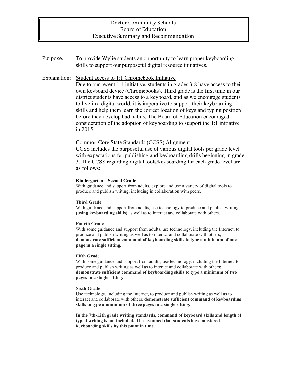### Dexter Community Schools Board of Education **Executive Summary and Recommendation**

Purpose: To provide Wylie students an opportunity to learn proper keyboarding skills to support our purposeful digital resource initiatives.

#### Explanation: Student access to 1:1 Chromebook Initiative

Due to our recent 1:1 initiative, students in grades 3-8 have access to their own keyboard device (Chromebooks). Third grade is the first time in our district students have access to a keyboard, and as we encourage students to live in a digital world, it is imperative to support their keyboarding skills and help them learn the correct location of keys and typing position before they develop bad habits. The Board of Education encouraged consideration of the adoption of keyboarding to support the 1:1 initiative in 2015.

#### Common Core State Standards (CCSS) Alignment

CCSS includes the purposeful use of various digital tools per grade level with expectations for publishing and keyboarding skills beginning in grade 3. The CCSS regarding digital tools/keyboarding for each grade level are as follows:

#### **Kindergarten – Second Grade**

With guidance and support from adults, explore and use a variety of digital tools to produce and publish writing, including in collaboration with peers.

#### **Third Grade**

With guidance and support from adults, use technology to produce and publish writing **(using keyboarding skills)** as well as to interact and collaborate with others.

#### **Fourth Grade**

With some guidance and support from adults, use technology, including the Internet, to produce and publish writing as well as to interact and collaborate with others; **demonstrate sufficient command of keyboarding skills to type a minimum of one page in a single sitting.**

#### **Fifth Grade**

With some guidance and support from adults, use technology, including the Internet, to produce and publish writing as well as to interact and collaborate with others; **demonstrate sufficient command of keyboarding skills to type a minimum of two pages in a single sitting.**

#### **Sixth Grade**

Use technology, including the Internet, to produce and publish writing as well as to interact and collaborate with others; **demonstrate sufficient command of keyboarding skills to type a minimum of three pages in a single sitting.**

**In the 7th-12th grade writing standards, command of keyboard skills and length of typed writing is not included. It is assumed that students have mastered keyboarding skills by this point in time.**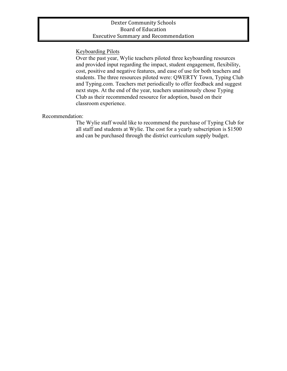### Dexter Community Schools Board of Education **Executive Summary and Recommendation**

## Keyboarding Pilots

Over the past year, Wylie teachers piloted three keyboarding resources and provided input regarding the impact, student engagement, flexibility, cost, positive and negative features, and ease of use for both teachers and students. The three resources piloted were: QWERTY Town, Typing Club and Typing.com. Teachers met periodically to offer feedback and suggest next steps. At the end of the year, teachers unanimously chose Typing Club as their recommended resource for adoption, based on their classroom experience.

### Recommendation:

The Wylie staff would like to recommend the purchase of Typing Club for all staff and students at Wylie. The cost for a yearly subscription is \$1500 and can be purchased through the district curriculum supply budget.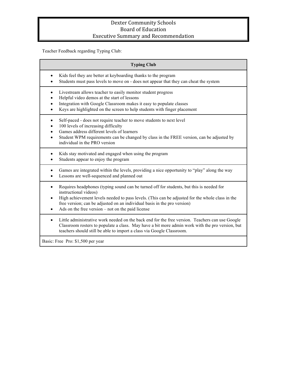## Dexter Community Schools Board of Education Executive Summary and Recommendation

Teacher Feedback regarding Typing Club:

| <b>Typing Club</b>                                                                                                                                                                                                                                                                                                                                                 |
|--------------------------------------------------------------------------------------------------------------------------------------------------------------------------------------------------------------------------------------------------------------------------------------------------------------------------------------------------------------------|
| Kids feel they are better at keyboarding thanks to the program<br>Students must pass levels to move on - does not appear that they can cheat the system                                                                                                                                                                                                            |
| Livestream allows teacher to easily monitor student progress<br>Helpful video demos at the start of lessons<br>Integration with Google Classroom makes it easy to populate classes<br>Keys are highlighted on the screen to help students with finger placement                                                                                                    |
| Self-paced - does not require teacher to move students to next level<br>100 levels of increasing difficulty<br>Games address different levels of learners<br>Student WPM requirements can be changed by class in the FREE version, can be adjusted by<br>$\bullet$<br>individual in the PRO version                                                                |
| Kids stay motivated and engaged when using the program<br>Students appear to enjoy the program                                                                                                                                                                                                                                                                     |
| Games are integrated within the levels, providing a nice opportunity to "play" along the way<br>Lessons are well-sequenced and planned out                                                                                                                                                                                                                         |
| Requires headphones (typing sound can be turned off for students, but this is needed for<br>$\bullet$<br>instructional videos)<br>High achievement levels needed to pass levels. (This can be adjusted for the whole class in the<br>free version; can be adjusted on an individual basis in the pro version)<br>Ads on the free version – not on the paid license |
| Little administrative work needed on the back end for the free version. Teachers can use Google<br>$\bullet$<br>Classroom rosters to populate a class. May have a bit more admin work with the pro version, but<br>teachers should still be able to import a class via Google Classroom.                                                                           |
| Basic: Free Pro: \$1,500 per year                                                                                                                                                                                                                                                                                                                                  |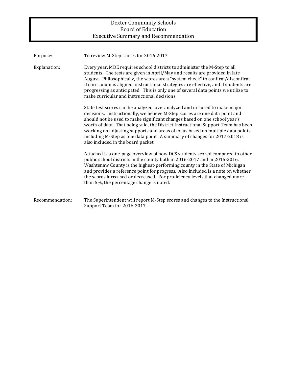## Dexter Community Schools Board of Education Executive Summary and Recommendation

| Purpose:        | To review M-Step scores for 2016-2017.                                                                                                                                                                                                                                                                                                                                                                                                                                                                                          |
|-----------------|---------------------------------------------------------------------------------------------------------------------------------------------------------------------------------------------------------------------------------------------------------------------------------------------------------------------------------------------------------------------------------------------------------------------------------------------------------------------------------------------------------------------------------|
| Explanation:    | Every year, MDE requires school districts to administer the M-Step to all<br>students. The tests are given in April/May and results are provided in late<br>August. Philosophically, the scores are a "system check" to confirm/disconfirm<br>if curriculum is aligned, instructional strategies are effective, and if students are<br>progressing as anticipated. This is only one of several data points we utilize to<br>make curricular and instructional decisions.                                                        |
|                 | State test scores can be analyzed, overanalyzed and misused to make major<br>decisions. Instructionally, we believe M-Step scores are one data point and<br>should not be used to make significant changes based on one school year's<br>worth of data. That being said, the District Instructional Support Team has been<br>working on adjusting supports and areas of focus based on multiple data points,<br>including M-Step as one data point. A summary of changes for 2017-2018 is<br>also included in the board packet. |
|                 | Attached is a one-page overview of how DCS students scored compared to other<br>public school districts in the county both in 2016-2017 and in 2015-2016.<br>Washtenaw County is the highest-performing county in the State of Michigan<br>and provides a reference point for progress. Also included is a note on whether<br>the scores increased or decreased. For proficiency levels that changed more<br>than 5%, the percentage change is noted.                                                                           |
| Recommendation: | The Superintendent will report M-Step scores and changes to the Instructional<br>Support Team for 2016-2017.                                                                                                                                                                                                                                                                                                                                                                                                                    |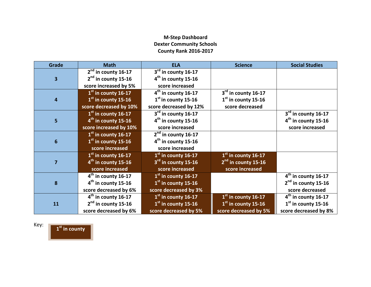## **M-Step Dashboard Dexter Community Schools County Rank 2016-2017**

| <b>Grade</b>            | <b>Math</b>            | <b>ELA</b>             | <b>Science</b>        | <b>Social Studies</b> |
|-------------------------|------------------------|------------------------|-----------------------|-----------------------|
|                         | $2nd$ in county 16-17  | $3rd$ in county 16-17  |                       |                       |
| $\overline{\mathbf{3}}$ | $2nd$ in county 15-16  | $4th$ in county 15-16  |                       |                       |
|                         | score increased by 5%  | score increased        |                       |                       |
|                         | $1st$ in county 16-17  | $4th$ in county 16-17  | $3rd$ in county 16-17 |                       |
| $\overline{4}$          | $1st$ in county 15-16  | $1st$ in county 15-16  | $1st$ in county 15-16 |                       |
|                         | score decreased by 10% | score decreased by 12% | score decreased       |                       |
|                         | $1st$ in county 16-17  | $3rd$ in county 16-17  |                       | 3rd in county 16-17   |
| 5                       | $4th$ in county 15-16  | $4th$ in county 15-16  |                       | $4th$ in county 15-16 |
|                         | score increased by 10% | score increased        |                       | score increased       |
|                         | $1st$ in county 16-17  | $2nd$ in county 16-17  |                       |                       |
| 6                       | $1st$ in county 15-16  | $4th$ in county 15-16  |                       |                       |
|                         | score increased        | score increased        |                       |                       |
|                         | $1st$ in county 16-17  | $1st$ in county 16-17  | $1st$ in county 16-17 |                       |
| 7                       | $4th$ in county 15-16  | $3rd$ in county 15-16  | $2nd$ in county 15-16 |                       |
|                         | score increased        | score increased        | score increased       |                       |
|                         | $4th$ in county 16-17  | $1st$ in county 16-17  |                       | $4th$ in county 16-17 |
| 8                       | $4th$ in county 15-16  | $1st$ in county 15-16  |                       | $2nd$ in county 15-16 |
|                         | score decreased by 6%  | score decreased by 3%  |                       | score decreased       |
|                         | $4th$ in county 16-17  | $1st$ in county 16-17  | $1st$ in county 16-17 | $4th$ in county 16-17 |
| 11                      | $2nd$ in county 15-16  | $1st$ in county 15-16  | $1st$ in county 15-16 | $1st$ in county 15-16 |
|                         | score decreased by 6%  | score decreased by 5%  | score decreased by 5% | score decreased by 8% |

Key: **1st in county**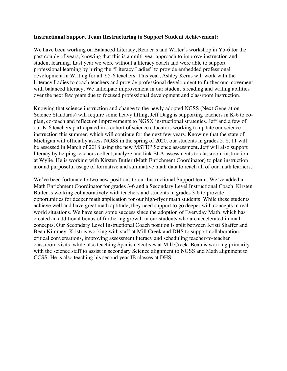#### **Instructional Support Team Restructuring to Support Student Achievement:**

We have been working on Balanced Literacy, Reader's and Writer's workshop in Y5-6 for the past couple of years, knowing that this is a multi-year approach to improve instruction and student learning. Last year we were without a literacy coach and were able to support professional learning by hiring the "Literacy Ladies" to provide embedded professional development in Writing for all Y5-6 teachers. This year, Ashley Kerns will work with the Literacy Ladies to coach teachers and provide professional development to further our movement with balanced literacy. We anticipate improvement in our student's reading and writing abilities over the next few years due to focused professional development and classroom instruction.

Knowing that science instruction and change to the newly adopted NGSS (Next Generation Science Standards) will require some heavy lifting, Jeff Dagg is supporting teachers in K-6 to coplan, co-teach and reflect on improvements to NGSX instructional strategies. Jeff and a few of our K-6 teachers participated in a cohort of science educators working to update our science instruction this summer, which will continue for the next few years. Knowing that the state of Michigan will officially assess NGSS in the spring of 2020, our students in grades 5, 8, 11 will be assessed in March of 2018 using the new MSTEP Science assessment. Jeff will also support literacy by helping teachers collect, analyze and link ELA assessments to classroom instruction at Wylie. He is working with Kirsten Butler (Math Enrichment Coordinator) to plan instruction around purposeful usage of formative and summative math data to reach all of our math learners.

We've been fortunate to two new positions to our Instructional Support team. We've added a Math Enrichment Coordinator for grades 3-6 and a Secondary Level Instructional Coach. Kirsten Butler is working collaboratively with teachers and students in grades 3-6 to provide opportunities for deeper math application for our high-flyer math students. While these students achieve well and have great math aptitude, they need support to go deeper with concepts in realworld situations. We have seen some success since the adoption of Everyday Math, which has created an additional bonus of furthering growth in our students who are accelerated in math concepts. Our Secondary Level Instructional Coach position is split between Kristi Shaffer and Beau Kimmey. Kristi is working with staff at Mill Creek and DHS to support collaboration, critical conversations, improving assessment literacy and scheduling teacher-to-teacher classroom visits, while also teaching Spanish electives at Mill Creek. Beau is working primarily with the science staff to assist in secondary Science alignment to NGSS and Math alignment to CCSS. He is also teaching his second year IB classes at DHS.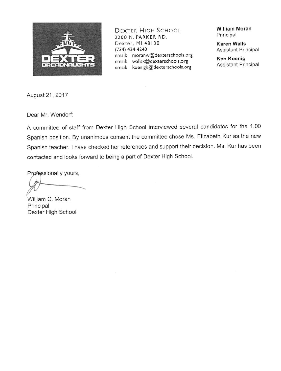

DEXTER HIGH SCHOOL 2200 N. PARKER RD. Dexter, MI 48130  $(734)$  424-4240 email: moranw@dexterschools.org email: wallsk@dexterschools.org email: koenigk@dexterschools.org

**William Moran** Principal

**Karen Walls Assistant Principal** 

**Ken Koenig Assistant Principal** 

August 21, 2017

Dear Mr. Wendorf:

A committee of staff from Dexter High School interviewed several candidates for the 1.00 Spanish position. By unanimous consent the committee chose Ms. Elizabeth Kur as the new Spanish teacher. I have checked her references and support their decision. Ms. Kur has been contacted and looks forward to being a part of Dexter High School.

Professionally yours,

William C. Moran Principal Dexter High School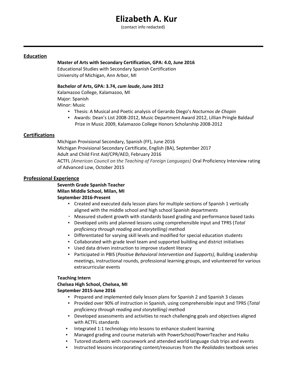## **Elizabeth A. Kur**

(contact info redacted)

#### **Education**

#### **Master of Arts with Secondary Certification, GPA: 4.0, June 2016**

Educational Studies with Secondary Spanish Certification University of Michigan, Ann Arbor, MI

#### **Bachelor of Arts, GPA: 3.74,** *cum laude***, June 2012**

Kalamazoo College, Kalamazoo, MI Major: Spanish Minor: Music

- Thesis: A Musical and Poetic analysis of Gerardo Diego's *Nocturnos de Chopin*
- Awards: Dean's List 2008-2012, Music Department Award 2012, Lillian Pringle Baldauf Prize in Music 2009, Kalamazoo College Honors Scholarship 2008-2012

#### **Certifications**

Michigan Provisional Secondary, Spanish (FF), June 2016 Michigan Provisional Secondary Certificate, English (BA), September 2017 Adult and Child First Aid/CPR/AED, February 2016 ACTFL *(American Council on the Teaching of Foreign Languages)* Oral Proficiency Interview rating of Advanced Low, October 2015

#### **Professional Experience**

**Seventh Grade Spanish Teacher Milan Middle School, Milan, MI September 2016-Present** 

- Created and executed daily lesson plans for multiple sections of Spanish 1 vertically aligned with the middle school and high school Spanish departments
- Measured student growth with standards based grading and performance based tasks
- Developed units and planned lessons using comprehensible input and TPRS (*Total proficiency through reading and storytelling)* method
- Differentiated for varying skill levels and modified for special education students
- Collaborated with grade level team and supported building and district initiatives
- Used data driven instruction to improve student literacy
- Participated in PBIS (*Positive Behavioral Intervention and Supports)*, Building Leadership meetings, instructional rounds, professional learning groups, and volunteered for various extracurricular events

#### **Teaching Intern**

**Chelsea High School, Chelsea, MI September 2015-June 2016** 

- Prepared and implemented daily lesson plans for Spanish 2 and Spanish 3 classes
- Provided over 90% of instruction in Spanish, using comprehensible input and TPRS (*Total proficiency through reading and storytelling)* method
- Developed assessments and activities to reach challenging goals and objectives aligned with ACTFL standards
- Integrated 1:1 technology into lessons to enhance student learning
- Managed grading and course materials with PowerSchool/PowerTeacher and Haiku
- Tutored students with coursework and attended world language club trips and events
- Instructed lessons incorporating content/resources from the *Realidades* textbook series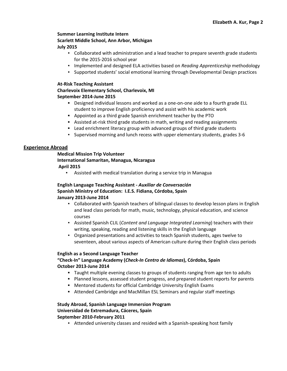#### **Summer Learning Institute Intern Scarlett Middle School, Ann Arbor, Michigan July 2015**

- Collaborated with administration and a lead teacher to prepare seventh grade students for the 2015-2016 school year
- Implemented and designed ELA activities based on *Reading Apprenticeship* methodology
- Supported students' social emotional learning through Developmental Design practices

#### **At-Risk Teaching Assistant**

#### **Charlevoix Elementary School, Charlevoix, MI September 2014-June 2015**

- **▪** Designed individual lessons and worked as a one-on-one aide to a fourth grade ELL student to improve English proficiency and assist with his academic work
- **▪** Appointed as a third grade Spanish enrichment teacher by the PTO
- **▪** Assisted at-risk third grade students in math, writing and reading assignments
- **▪** Lead enrichment literacy group with advanced groups of third grade students
- Supervised morning and lunch recess with upper elementary students, grades 3-6

#### **Experience Abroad**

#### **Medical Mission Trip Volunteer International Samaritan, Managua, Nicaragua April 2015**

▪ Assisted with medical translation during a service trip in Managua

#### **English Language Teaching Assistant -** *Auxiliar de Conversación* **Spanish Ministry of Education: I.E.S. Fidiana, Córdoba, Spain January 2013-June 2014**

- Collaborated with Spanish teachers of bilingual classes to develop lesson plans in English and lead class periods for math, music, technology, physical education, and science courses
- Assisted Spanish CLIL (*Content and Language Integrated Learning*) teachers with their writing, speaking, reading and listening skills in the English language
- Organized presentations and activities to teach Spanish students, ages twelve to seventeen, about various aspects of American culture during their English class periods

#### **English as a Second Language Teacher**

### **"Check-In" Language Academy (***Check-In Centro de Idiomas***), Córdoba, Spain October 2013-June 2014**

- **▪** Taught multiple evening classes to groups of students ranging from age ten to adults
- **▪** Planned lessons, assessed student progress, and prepared student reports for parents
- **▪** Mentored students for official Cambridge University English Exams
- **▪** Attended Cambridge and MacMillan ESL Seminars and regular staff meetings

#### **Study Abroad, Spanish Language Immersion Program Universidad de Extremadura, Cáceres, Spain September 2010-February 2011**

**•** Attended university classes and resided with a Spanish-speaking host family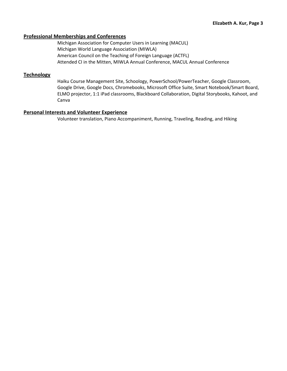#### **Professional Memberships and Conferences**

Michigan Association for Computer Users in Learning (MACUL) Michigan World Language Association (MIWLA) American Council on the Teaching of Foreign Language (ACTFL) Attended CI in the Mitten, MIWLA Annual Conference, MACUL Annual Conference

#### **Technology**

Haiku Course Management Site, Schoology, PowerSchool/PowerTeacher, Google Classroom, Google Drive, Google Docs, Chromebooks, Microsoft Office Suite, Smart Notebook/Smart Board, ELMO projector, 1:1 iPad classrooms, Blackboard Collaboration, Digital Storybooks, Kahoot, and Canva

#### **Personal Interests and Volunteer Experience**

Volunteer translation, Piano Accompaniment, Running, Traveling, Reading, and Hiking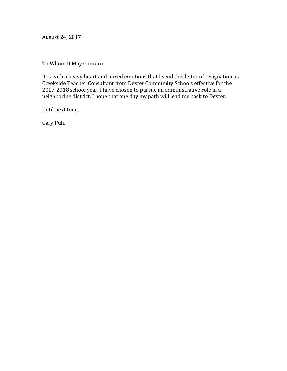August 24, 2017

To Whom It May Concern:

It is with a heavy heart and mixed emotions that I send this letter of resignation as Creekside Teacher Consultant from Dexter Community Schools effective for the 2017-2018 school year. I have chosen to pursue an administrative role in a neighboring district. I hope that one day my path will lead me back to Dexter.

Until next time,

Gary Puhl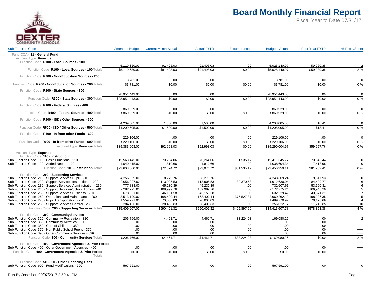

| <b>Sub Function Code</b>                                                                                          | <b>Amended Budget</b>          | <b>Current Month Actual</b> | <b>Actual FYTD</b> | <b>Encumbrances</b> | <b>Budget - Actual</b> | <b>Prior Year FYTD</b> | % Rec'd/Spent     |
|-------------------------------------------------------------------------------------------------------------------|--------------------------------|-----------------------------|--------------------|---------------------|------------------------|------------------------|-------------------|
| Fund(COA) 11 - General Fund<br>Account Type Revenue                                                               |                                |                             |                    |                     |                        |                        |                   |
| Function Code R100 - Local Sources - 100                                                                          |                                |                             | 91,498.03          |                     | 5,028,140.97           | 59,939.35              |                   |
| Function Code R100 - Local Sources - 100 Totals                                                                   | 5,119,639.00<br>\$5,119,639.00 | 91,498.03<br>\$91,498.03    | \$91,498.03        | .00<br>\$0.00       | \$5,028,140.97         | \$59,939.35            | 2%                |
| Function Code R200 - Non-Education Sources - 200                                                                  |                                |                             |                    |                     |                        |                        |                   |
| Function Code R200 - Non-Education Sources - 200 Totals                                                           | 3,781.00<br>\$3,781.00         | .00.<br>\$0.00              | .00<br>\$0.00      | .00<br>\$0.00       | 3,781.00<br>\$3,781.00 | .00.<br>\$0.00         | $\mathbf 0$<br>0% |
| Function Code R300 - State Sources - 300                                                                          |                                |                             |                    |                     |                        |                        |                   |
|                                                                                                                   | 28,951,443.00                  | .00                         | .00                | .00                 | 28,951,443.00          | .00                    | $\Omega$          |
| Function Code R300 - State Sources - 300 Totals                                                                   | \$28.951.443.00                | \$0.00                      | \$0.00             | \$0.00              | \$28.951.443.00        | \$0.00                 | 0%                |
| Function Code R400 - Federal Sources - 400                                                                        |                                |                             |                    |                     |                        |                        |                   |
|                                                                                                                   | 869,529.00                     | .00                         | .00                | .00                 | 869,529.00             | .00                    | $\Omega$          |
| Function Code R400 - Federal Sources - 400 Totals                                                                 | \$869,529.00                   | \$0.00                      | \$0.00             | \$0.00              | \$869,529.00           | \$0.00                 | 0%                |
| Function Code R500 - ISD / Other Sources - 500                                                                    |                                |                             |                    |                     |                        |                        |                   |
|                                                                                                                   | 4,209,505.00                   | 1,500.00                    | 1,500.00           | .00                 | 4,208,005.00           | 18.41                  | $\mathbf 0$       |
| Function Code R500 - ISD / Other Sources - 500 Totals                                                             | \$4,209,505.00                 | \$1,500.00                  | \$1,500.00         | \$0.00              | \$4,208,005.00         | \$18.41                | 0%                |
| Function Code R600 - In from other Funds - 600                                                                    |                                |                             |                    |                     |                        |                        |                   |
|                                                                                                                   | 229,106.00                     | .00.                        | .00                | .00                 | 229,106.00             | .00.                   | $\mathbf 0$       |
| Function Code R600 - In from other Funds - 600 Totals                                                             | \$229,106.00                   | \$0.00                      | \$0.00             | \$0.00              | \$229,106.00           | \$0.00                 | 0%                |
| Account Type Revenue Totals                                                                                       | \$39,383,003.00                | \$92,998.03                 | \$92,998.03        | \$0.00              | \$39,290,004.97        | \$59,957.76            | 0%                |
| Account Type Expense                                                                                              |                                |                             |                    |                     |                        |                        |                   |
| Function Code 100 - Instruction                                                                                   |                                |                             |                    |                     |                        |                        |                   |
| Sub Function Code 110 - Basic Functions - 110                                                                     | 19,563,445.00                  | 70,264.06                   | 70.264.06          | 81,535.17           | 19.411.645.77          | 73.843.44              | $\mathbf 0$       |
| Sub Function Code 120 - Added Needs - 120                                                                         | 4,040,415.00                   | 1,810.66                    | 1,810.66           | .00                 | 4,038,604.34           | 7,418.98               | $\mathbf 0$       |
| Function Code 100 - Instruction Totals                                                                            | \$23,603,860.00                | \$72.074.72                 | \$72.074.72        | \$81.535.17         | \$23.450.250.11        | \$81.262.42            | 0%                |
| Function Code 200 - Supporting Services                                                                           |                                |                             |                    |                     |                        |                        |                   |
| Sub Function Code 210 - Support Services-Pupil - 210                                                              | 4,256,589.00                   | 8,279.76                    | 8,279.76           | .00                 | 4,248,309.24           | 9,617.93               |                   |
| Sub Function Code 220 - Support Services-Instructional - 220                                                      | 2,056,907.00                   | 113,905.53                  | 113,905.53         | 30,370.53           | 1,912,630.94           | 84.409.77              |                   |
| Sub Function Code 230 - Support Services-Administration - 230                                                     | 777,838.00                     | 45,230.39                   | 45,230.39          | .00                 | 732,607.61             | 53,660.31              |                   |
| Sub Function Code 240 - Support Services-School Admin - 240                                                       | 2,282,775.00                   | 109,999.76                  | 109,999.76         | .00                 | 2,172,775.24           | 106,946.20             | -5                |
| Sub Function Code 250 - Support Services-Business - 250                                                           | 678,381.00                     | 46,151.58                   | 46,151.58          | .00                 | 632,229.42             | 43,571.31              | $\overline{7}$    |
| Sub Function Code 260 - Operations and Maintenance - 260                                                          | 3,513,190.00                   | 168,400.44                  | 168,400.44         | 375,527.37          | 2,969,262.19           | 198,226.35             | 5                 |
| Sub Function Code 270 - Pupil Transportation - 270                                                                | 1,559,771.00                   | 70.000.03                   | 70.000.03          | .00                 | 1,489,770.97           | 70,178.66              | $\overline{4}$    |
| Sub Function Code 280 - Support Services-Central - 280                                                            | 284,456.00                     | 28,433.83                   | 28,433.83          | .00                 | 256,022.17             | 11,742.85              | 10                |
| Function Code 200 - Supporting Services Totals                                                                    | \$15,409,907.00                | \$590,401.32                | \$590,401.32       | \$405,897.90        | \$14,413,607.78        | \$578,353.38           | 4 %               |
| Function Code 300 - Community Services                                                                            |                                |                             |                    |                     |                        |                        |                   |
| Sub Function Code 320 - Community Recreation - 320                                                                | 206.766.00                     | 4.461.71                    | 4.461.71           | 33.224.03           | 169.080.26             | .00.                   | $\overline{2}$    |
| Sub Function Code 330 - Community Activities - 330                                                                | .00.                           | .00                         | .00                | .00                 | .00                    | .00.                   | $^{+++}$          |
| Sub Function Code 350 - Care of Children - 350                                                                    | .00.                           | .00                         | .00                | .00                 | .00                    | .00.                   | $^{+++}$          |
| Sub Function Code 370 - Non Public School Pupils - 370                                                            | .00.                           | .00                         | .00                | .00                 | .00.                   | .00.                   | $^{+++}$          |
| Sub Function Code 390 - Other Community Services - 390                                                            | .00                            | .00                         | .00                | .00                 | .00                    | .00                    | $^{++}$           |
| Function Code 300 - Community Services Totals                                                                     | \$206,766.00                   | \$4,461.71                  | \$4,461.71         | \$33,224.03         | \$169,080.26           | \$0.00                 | 2%                |
| Function Code 400 - Government Agencies & Prior Period<br>Sub Function Code 400 - Other Government Agencies - 400 | .00                            | .00                         | .00                | .00                 | .00                    | .00                    |                   |
|                                                                                                                   |                                |                             |                    |                     |                        |                        | $^{+++}$          |
| Function Code 400 - Government Agencies & Prior Period<br>Totals                                                  | \$0.00                         | \$0.00                      | \$0.00             | \$0.00              | \$0.00                 | \$0.00                 | $^{++}$           |
| Function Code 500-600 - Other Financing Uses                                                                      |                                |                             |                    |                     |                        |                        |                   |
| Sub Function Code 600 - Fund Modifications - 600                                                                  | 567.591.00                     | .00.                        | .00                | .00                 | 567,591.00             | .00.                   | $\Omega$          |
|                                                                                                                   |                                |                             |                    |                     |                        |                        |                   |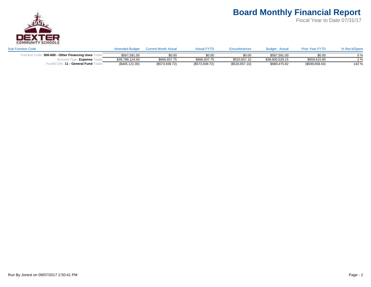

| <b>Sub Function Code</b>         | <b>Amended Budget</b> | Current Month Actua | <b>Actual FYTD</b> | Encumbrances   | - Actual<br>Budget - | <b>Prior Year FYTD</b> | % Rec'd/Spent |
|----------------------------------|-----------------------|---------------------|--------------------|----------------|----------------------|------------------------|---------------|
| 500-600 - Other Financing Uses ⊺ | \$567.591.00          | \$0.00              | \$0.00             | \$0.00         | \$567.591.00         | \$0.00                 | $0\%$         |
| <b>Expense</b>                   | \$39,788,124.00       | \$666,937.75        | \$666,937.75       | \$520,657.10   | \$38,600,529.15      | \$659,615.80           | 20/           |
| 11 - General Fund ˈ              | (\$405, 121.00)       | (\$573,939.72)      | (\$573,939.72)     | (\$520,657.10) | \$689,475.82         | (\$599,658.04)         | 142 %         |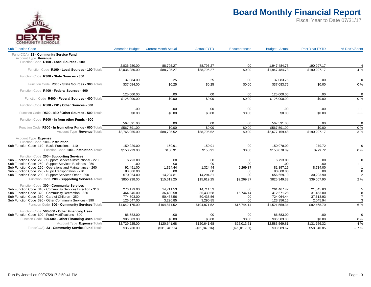

| <b>Sub Function Code</b>                                                                                | <b>Amended Budget</b> | <b>Current Month Actual</b> | <b>Actual FYTD</b> | Encumbrances  | <b>Budget - Actual</b>         | <b>Prior Year FYTD</b>     | % Rec'd/Spent  |
|---------------------------------------------------------------------------------------------------------|-----------------------|-----------------------------|--------------------|---------------|--------------------------------|----------------------------|----------------|
| Fund(COA) 23 - Community Service Fund                                                                   |                       |                             |                    |               |                                |                            |                |
| Account Type Revenue                                                                                    |                       |                             |                    |               |                                |                            |                |
| Function Code R100 - Local Sources - 100                                                                |                       |                             |                    |               |                                |                            |                |
| Function Code R100 - Local Sources - 100 Totals                                                         | 2,036,280.00          | 88,795.27                   | 88,795.27          | .00           | 1,947,484.73<br>\$1.947.484.73 | 190,297.17<br>\$190,297.17 | 4 %            |
|                                                                                                         | \$2,036,280.00        | \$88,795.27                 | \$88,795.27        | \$0.00        |                                |                            |                |
| Function Code R300 - State Sources - 300                                                                |                       |                             |                    |               |                                |                            |                |
|                                                                                                         | 37,084.00             | .25                         | .25                | .00           | 37,083.75                      | .00                        | $\Omega$       |
| Function Code R300 - State Sources - 300 Totals                                                         | \$37,084.00           | \$0.25                      | \$0.25             | \$0.00        | \$37,083.75                    | \$0.00                     | 0%             |
| Function Code R400 - Federal Sources - 400                                                              |                       |                             |                    |               |                                |                            |                |
|                                                                                                         | 125,000.00            | .00.                        | .00                | .00           | 125,000.00                     | .00                        | $\Omega$       |
| Function Code R400 - Federal Sources - 400 Totals                                                       | \$125,000.00          | \$0.00                      | \$0.00             | \$0.00        | \$125,000.00                   | \$0.00                     | 0%             |
| Function Code R500 - ISD / Other Sources - 500                                                          |                       |                             |                    |               |                                |                            |                |
|                                                                                                         | .00.                  | .00                         | .00                | .00           | .00                            | .00                        | $^{+++}$       |
| Function Code R500 - ISD / Other Sources - 500 Totals                                                   | \$0.00                | \$0.00                      | \$0.00             | \$0.00        | \$0.00                         | \$0.00                     | $^{+++}$       |
| Function Code R600 - In from other Funds - 600                                                          |                       |                             |                    |               |                                |                            |                |
|                                                                                                         | 567,591.00            | .00.                        | .00                | .00           | 567,591.00                     | .00                        | $\overline{0}$ |
| Function Code R600 - In from other Funds - 600 Totals                                                   | \$567,591.00          | \$0.00                      | \$0.00             | \$0.00        | \$567,591.00                   | \$0.00                     | 0%             |
| Account Type Revenue Totals                                                                             | \$2,765,955.00        | \$88,795.52                 | \$88,795.52        | \$0.00        | \$2,677,159.48                 | \$190,297.17               | 3%             |
|                                                                                                         |                       |                             |                    |               |                                |                            |                |
| Account Type Expense<br>Function Code 100 - Instruction                                                 |                       |                             |                    |               |                                |                            |                |
| Sub Function Code 110 - Basic Functions - 110                                                           | 150,229.00            | 150.91                      | 150.91             | .00           | 150,078.09                     | 279.72                     | $\mathbf 0$    |
| Function Code 100 - Instruction Totals                                                                  | \$150,229.00          | \$150.91                    | \$150.91           | \$0.00        | \$150,078.09                   | \$279.72                   | 0%             |
|                                                                                                         |                       |                             |                    |               |                                |                            |                |
| Function Code 200 - Supporting Services<br>Sub Function Code 220 - Support Services-Instructional - 220 | 6,793.00              | .00.                        | .00                | .00           | 6.793.00                       | .00                        | $\mathbf 0$    |
| Sub Function Code 250 - Support Services-Business - 250                                                 | .00                   | .00                         | .00                | .00           | .00.                           | .00                        | $^{+++}$       |
| Sub Function Code 260 - Operations and Maintenance - 260                                                | 92.491.00             | 1.324.44                    | 1.324.44           | 9.269.37      | 81.897.19                      | 8.714.00                   |                |
| Sub Function Code 270 - Pupil Transportation - 270                                                      | 80,000.00             | .00                         | .00                | .00           | 80,000.00                      | .00                        | $\mathbf 0$    |
| Sub Function Code 290 - Support Services-Other - 290                                                    | 670,954.00            | 14.294.81                   | 14.294.81          | .00           | 656,659.19                     | 30.293.90                  |                |
| Function Code 200 - Supporting Services Totals                                                          | \$850,238.00          | \$15,619.25                 | \$15,619.25        | \$9,269.37    | \$825,349.38                   | \$39,007.90                | 2%             |
|                                                                                                         |                       |                             |                    |               |                                |                            |                |
| Function Code 300 - Community Services                                                                  |                       |                             |                    |               |                                |                            |                |
| Sub Function Code 310 - Community Services Direction - 310                                              | 276,179.00            | 14,711.53                   | 14,711.53          | .00           | 261,467.47                     | 21,345.83                  |                |
| Sub Function Code 320 - Community Recreation - 320                                                      | 464,846.00            | 36,430.58                   | 36,430.58          | 15,744.14     | 412,671.28                     | 31,463.00                  |                |
| Sub Function Code 350 - Care of Children - 350                                                          | 774,503.00            | 50,438.56                   | 50,438.56          | .00           | 724,064.44                     | 37,613.93                  |                |
| Sub Function Code 390 - Other Community Services - 390                                                  | 126,647.00            | 3,290.85                    | 3,290.85           | .00.          | 123,356.15                     | 2,045.94                   |                |
| Function Code 300 - Community Services Totals                                                           | \$1,642,175.00        | \$104,871.52                | \$104,871.52       | \$15,744.14   | \$1,521,559.34                 | \$92,468.70                | 6 %            |
| Function Code 500-600 - Other Financing Uses                                                            |                       |                             |                    |               |                                |                            |                |
| Sub Function Code 600 - Fund Modifications - 600                                                        | 86,583.00             | .00.                        | .00                | .00           | 86,583.00                      | .00                        | $\mathbf 0$    |
| Function Code 500-600 - Other Financing Uses Totals                                                     | \$86,583.00           | \$0.00                      | \$0.00             | \$0.00        | \$86,583.00                    | \$0.00                     | 0%             |
| Account Type Expense Totals                                                                             | \$2,729,225.00        | \$120,641.68                | \$120,641.68       | \$25,013.51   | \$2,583,569.81                 | \$131,756.32               | 4 %            |
| Fund(COA) 23 - Community Service Fund Totals                                                            | \$36,730.00           | (\$31,846.16)               | (\$31,846.16)      | (\$25,013.51) | \$93,589.67                    | \$58,540.85                | $-87%$         |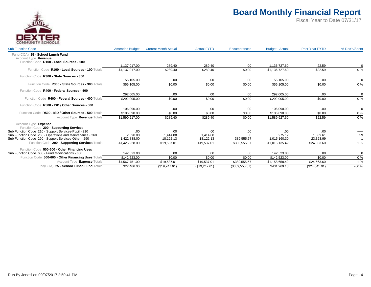

| <b>Sub Function Code</b>                                                                             | <b>Amended Budget</b> | <b>Current Month Actual</b> | <b>Actual FYTD</b> | Encumbrances   | <b>Budget - Actual</b> | <b>Prior Year FYTD</b> | % Rec'd/Spent |
|------------------------------------------------------------------------------------------------------|-----------------------|-----------------------------|--------------------|----------------|------------------------|------------------------|---------------|
| Fund(COA) 25 - School Lunch Fund<br>Account Type Revenue<br>Function Code R100 - Local Sources - 100 |                       |                             |                    |                |                        |                        |               |
|                                                                                                      | 1.137.017.00          | 289.40                      | 289.40             | .00            | 1.136.727.60           | 22.59                  |               |
| Function Code R100 - Local Sources - 100 Totals                                                      | \$1,137,017.00        | \$289.40                    | \$289.40           | \$0.00         | \$1,136,727.60         | \$22.59                | 0%            |
| Function Code R300 - State Sources - 300                                                             |                       |                             |                    |                |                        |                        |               |
|                                                                                                      | 55.105.00             | .00                         | .00.               | .00            | 55,105.00              | .00.                   | $\Omega$      |
| Function Code R300 - State Sources - 300 Totals                                                      | \$55,105.00           | \$0.00                      | \$0.00             | \$0.00         | \$55,105.00            | \$0.00                 | $0\%$         |
| Function Code R400 - Federal Sources - 400                                                           |                       |                             |                    |                |                        |                        |               |
|                                                                                                      | 292.005.00            | .00                         | .00.               | .00            | 292.005.00             | .00                    | $\Omega$      |
| Function Code R400 - Federal Sources - 400 Totals                                                    | \$292,005.00          | \$0.00                      | \$0.00             | \$0.00         | \$292,005.00           | \$0.00                 | 0%            |
| Function Code R500 - ISD / Other Sources - 500                                                       |                       |                             |                    |                |                        |                        |               |
|                                                                                                      | 106.090.00            | .00                         | .00.               | .00            | 106.090.00             | .00                    |               |
| Function Code R500 - ISD / Other Sources - 500 Totals                                                | \$106.090.00          | \$0.00                      | \$0.00             | \$0.00         | \$106.090.00           | \$0.00                 | 0%            |
| Account Type Revenue Totals                                                                          | \$1.590.217.00        | \$289.40                    | \$289.40           | \$0.00         | \$1,589,927.60         | \$22.59                | 0%            |
| Account Type Expense                                                                                 |                       |                             |                    |                |                        |                        |               |
| Function Code 200 - Supporting Services                                                              |                       |                             |                    |                |                        |                        |               |
| Sub Function Code 210 - Support Services-Pupil - 210                                                 | .00                   | .00                         | .00                | .00            | .00                    | .00                    | $^{+++}$      |
| Sub Function Code 260 - Operations and Maintenance - 260                                             | 2,390.00              | 1.414.88                    | 1,414.88           | .00            | 975.12                 | 1,339.61               | 59            |
| Sub Function Code 290 - Support Services-Other - 290                                                 | 1,422,838.00          | 18.122.13                   | 18.122.13          | 389,555.57     | 1.015.160.30           | 23.323.99              |               |
| Function Code 200 - Supporting Services Totals                                                       | \$1,425,228.00        | \$19,537.01                 | \$19,537.01        | \$389,555.57   | \$1,016,135.42         | \$24,663.60            | 1 %           |
| Function Code 500-600 - Other Financing Uses                                                         |                       |                             |                    |                |                        |                        |               |
| Sub Function Code 600 - Fund Modifications - 600                                                     | 142.523.00            | .00.                        | .00                | .00            | 142.523.00             | .00                    | $\Omega$      |
| Function Code 500-600 - Other Financing Uses Totals                                                  | \$142,523.00          | \$0.00                      | \$0.00             | \$0.00         | \$142,523.00           | \$0.00                 | 0%            |
| Account Type <b>Expense</b> Totals                                                                   | \$1.567.751.00        | \$19,537.01                 | \$19,537.01        | \$389,555.57   | \$1,158,658.42         | \$24.663.60            | 1%            |
| Fund(COA) 25 - School Lunch Fund Totals                                                              | \$22,466.00           | (\$19,247.61)               | (\$19,247.61)      | (\$389,555.57) | \$431,269.18           | (\$24,641.01)          | $-86%$        |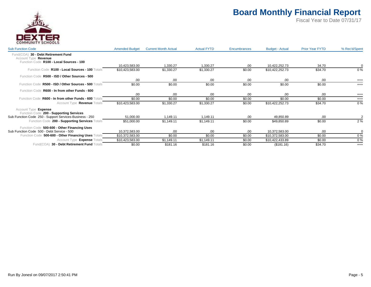

| <b>Sub Function Code</b>                                                                                   | <b>Amended Budget</b> | <b>Current Month Actual</b> | <b>Actual FYTD</b> | Encumbrances | <b>Budget - Actual</b> | <b>Prior Year FYTD</b> | % Rec'd/Spent |
|------------------------------------------------------------------------------------------------------------|-----------------------|-----------------------------|--------------------|--------------|------------------------|------------------------|---------------|
| 30 - Debt Retirement Fund<br>Fund(COA)<br>Account Type Revenue<br>Function Code R100 - Local Sources - 100 |                       |                             |                    |              |                        |                        |               |
|                                                                                                            | 10,423,583.00         | 1.330.27                    | 1.330.27           | .00          | 10,422,252.73          | 34.70                  |               |
| Function Code R100 - Local Sources - 100 Totals                                                            | \$10,423,583.00       | \$1,330.27                  | \$1,330.27         | \$0.00       | \$10,422,252.73        | \$34.70                | $0\%$         |
| Function Code R500 - ISD / Other Sources - 500                                                             |                       |                             |                    |              |                        |                        |               |
|                                                                                                            | .00                   | .00                         | .00                | .00          | .00                    | .00                    | $^{+++}$      |
| R500 - ISD / Other Sources - 500 Totals<br><b>Function Code</b>                                            | \$0.00                | \$0.00                      | \$0.00             | \$0.00       | \$0.00                 | \$0.00                 | $^{+++}$      |
| Function Code R600 - In from other Funds - 600                                                             |                       |                             |                    |              |                        |                        |               |
|                                                                                                            | .00                   | .00                         | .00                | .00          | .00                    | .00                    | $^{+++}$      |
| Function Code R600 - In from other Funds - 600 Totals                                                      | \$0.00                | \$0.00                      | \$0.00             | \$0.00       | \$0.00                 | \$0.00                 | $^{+++}$      |
| Account Type Revenue Totals                                                                                | \$10,423,583.00       | \$1,330.27                  | \$1,330.27         | \$0.00       | \$10,422,252.73        | \$34.70                | 0%            |
| Account Type Expense<br>Function Code 200 - Supporting Services                                            |                       |                             |                    |              |                        |                        |               |
| Sub Function Code 250 - Support Services-Business - 250                                                    | 51,000.00             | 1,149.11                    | 1,149.11           | .00          | 49,850.89              | .00                    |               |
| Function Code 200 - Supporting Services Totals                                                             | \$51,000.00           | \$1,149.11                  | \$1,149.11         | \$0.00       | \$49,850.89            | \$0.00                 | 2%            |
| Function Code 500-600 - Other Financing Uses                                                               |                       |                             |                    |              |                        |                        |               |
| Sub Function Code 500 - Debt Service - 500                                                                 | 10,372,583.00         | .00                         | .00                | .00          | 10,372,583.00          | .00.                   |               |
| Function Code 500-600 - Other Financing Uses Totals                                                        | \$10,372,583.00       | \$0.00                      | \$0.00             | \$0.00       | \$10,372,583.00        | \$0.00                 | 0%            |
| Account Type Expense Totals                                                                                | \$10,423,583.00       | \$1,149.11                  | \$1,149.11         | \$0.00       | \$10,422,433.89        | \$0.00                 | $0\%$         |
| 30 - Debt Retirement Fund Totals<br>Fund(COA)                                                              | \$0.00                | \$181.16                    | \$181.16           | \$0.00       | (\$181.16)             | \$34.70                | $^{+++}$      |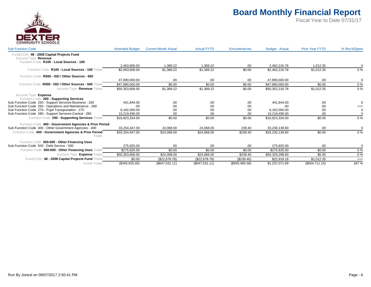

| <b>Sub Function Code</b>                                          | <b>Amended Budget</b> | <b>Current Month Actual</b> | <b>Actual FYTD</b> | <b>Encumbrances</b> | <b>Budget - Actual</b> | <b>Prior Year FYTD</b> | % Rec'd/Spent |
|-------------------------------------------------------------------|-----------------------|-----------------------------|--------------------|---------------------|------------------------|------------------------|---------------|
| Fund(COA) 48 - 2008 Capital Projects Fund<br>Account Type Revenue |                       |                             |                    |                     |                        |                        |               |
| Function Code R100 - Local Sources - 100                          | 2.463.606.00          | 1.389.22                    | 1.389.22           | .00                 | 2.462.216.78           | 1.012.35               |               |
| Function Code R100 - Local Sources - 100 Totals                   | \$2,463,606.00        | \$1,389.22                  | \$1,389.22         | \$0.00              | \$2,462,216.78         | \$1,012.35             | $0\%$         |
| Function Code R500 - ISD / Other Sources - 500                    |                       |                             |                    |                     |                        |                        |               |
|                                                                   | 47.890.000.00         | .00.                        | .00                | .00                 | 47.890.000.00          | .00.                   | $\mathbf 0$   |
| Function Code R500 - ISD / Other Sources - 500 Totals             | \$47,890,000.00       | \$0.00                      | \$0.00             | \$0.00              | \$47,890,000.00        | \$0.00                 | 0%            |
| Account Type Revenue Totals                                       | \$50,353,606.00       | \$1,389.22                  | \$1,389.22         | \$0.00              | \$50,352,216.78        | \$1,012.35             | 0%            |
| Account Type Expense<br>Function Code 200 - Supporting Services   |                       |                             |                    |                     |                        |                        |               |
| Sub Function Code 250 - Support Services-Business - 250           | 441.844.00            | .00                         | .00                | .00                 | 441,844.00             | .00                    |               |
| Sub Function Code 260 - Operations and Maintenance - 260          | .00                   | .00                         | .00                | .00                 | .00                    | .00                    | $^{+++}$      |
| Sub Function Code 270 - Pupil Transportation - 270                | 6.162.000.00          | .00                         | .00                | .00                 | 6.162.000.00           | .00                    | $\Omega$      |
| Sub Function Code 280 - Support Services-Central - 280            | 10,219,490.00         | .00.                        | .00                | .00                 | 10,219,490.00          | .00                    |               |
| Function Code 200 - Supporting Services Totals                    | \$16,823,334.00       | \$0.00                      | \$0.00             | \$0.00              | \$16,823,334.00        | \$0.00                 | 0%            |
| Function Code 400 - Government Agencies & Prior Period            |                       |                             |                    |                     |                        |                        |               |
| Sub Function Code 400 - Other Government Agencies - 400           | 33,254,447.00         | 24,068.00                   | 24,068.00          | 239.40              | 33,230,139.60          | .00                    | $\Omega$      |
| Function Code 400 - Government Agencies & Prior Period<br>Totals  | \$33.254.447.00       | \$24,068.00                 | \$24,068.00        | \$239.40            | \$33,230,139.60        | \$0.00                 | 0%            |
| Function Code 500-600 - Other Financing Uses                      |                       |                             |                    |                     |                        |                        |               |
| Sub Function Code 500 - Debt Service - 500                        | 275,825.00            | .00                         | .00                | .00                 | 275.825.00             | .00                    |               |
| Function Code 500-600 - Other Financing Uses Totals               | \$275.825.00          | \$0.00                      | \$0.00             | \$0.00              | \$275,825,00           | \$0.00                 | $0\%$         |
| Account Type Expense Totals                                       | \$50,353,606.00       | \$24,068.00                 | \$24,068.00        | \$239.40            | \$50,329,298.60        | \$0.00                 | 0%            |
| 48 - 2008 Capital Projects Fund Totals<br>Fund(COA)               | \$0.00                | (\$22,678.78)               | (\$22,678.78)      | (S239.40)           | \$22,918.18            | \$1,012.35             | $^{+++}$      |
| <b>Grand Totals</b>                                               | (\$345,925.00)        | (\$647,531.11)              | (\$647,531.11)     | (\$935,465.58)      | \$1,237,071.69         | (\$564,711.15)         | 187%          |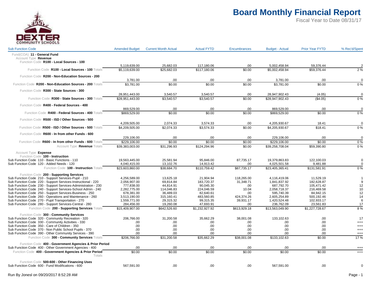

| <b>Sub Function Code</b>                                                                                       | <b>Amended Budget</b>            | <b>Current Month Actual</b> | <b>Actual FYTD</b>     | <b>Encumbrances</b>     | <b>Budget - Actual</b>           | <b>Prior Year FYTD</b>  | % Rec'd/Spent        |
|----------------------------------------------------------------------------------------------------------------|----------------------------------|-----------------------------|------------------------|-------------------------|----------------------------------|-------------------------|----------------------|
| Fund(COA) 11 - General Fund<br>Account Type Revenue<br>Function Code R100 - Local Sources - 100                |                                  |                             |                        |                         |                                  |                         |                      |
|                                                                                                                | 5,119,639.00                     | 25,682.03                   | 117,180.06             | .00                     | 5,002,458.94                     | 59,376.44               |                      |
| Function Code R100 - Local Sources - 100 Totals                                                                | \$5,119,639.00                   | \$25,682.03                 | \$117,180.06           | \$0.00                  | \$5,002,458.94                   | \$59,376.44             | 2%                   |
| Function Code R200 - Non-Education Sources - 200                                                               | 3,781.00                         | .00                         | .00                    | .00                     | 3,781.00                         | .00                     |                      |
| Function Code R200 - Non-Education Sources - 200 Totals                                                        | \$3.781.00                       | \$0.00                      | \$0.00                 | \$0.00                  | \$3.781.00                       | \$0.00                  | $\overline{0\%}$     |
| Function Code R300 - State Sources - 300                                                                       |                                  |                             |                        |                         |                                  |                         |                      |
| Function Code R300 - State Sources - 300 Totals                                                                | 28,951,443.00<br>\$28,951,443.00 | 3,540.57<br>\$3,540.57      | 3,540.57<br>\$3,540.57 | .00.<br>\$0.00          | 28,947,902.43<br>\$28,947,902.43 | (4.05)<br>(\$4.05)      | 0%                   |
| Function Code R400 - Federal Sources - 400                                                                     |                                  |                             |                        |                         |                                  |                         |                      |
|                                                                                                                | 869,529.00                       | .00                         | .00                    | .00                     | 869,529.00                       | .00                     | $\Omega$             |
| Function Code R400 - Federal Sources - 400 Totals                                                              | \$869,529.00                     | \$0.00                      | \$0.00                 | \$0.00                  | \$869,529.00                     | \$0.00                  | 0%                   |
| Function Code R500 - ISD / Other Sources - 500                                                                 |                                  |                             |                        |                         |                                  |                         |                      |
|                                                                                                                | 4,209,505.00                     | 2,074.33                    | 3,574.33               | .00                     | 4,205,930.67                     | 18.41                   | $\Omega$             |
| Function Code R500 - ISD / Other Sources - 500 Totals                                                          | \$4,209,505.00                   | \$2,074.33                  | \$3,574.33             | \$0.00                  | \$4,205,930.67                   | \$18.41                 | 0%                   |
| Function Code R600 - In from other Funds - 600                                                                 |                                  |                             |                        |                         |                                  |                         |                      |
|                                                                                                                | 229,106.00                       | .00                         | .00                    | .00                     | 229,106.00                       | .00                     | $\Omega$             |
| Function Code R600 - In from other Funds - 600 Totals                                                          | \$229,106.00                     | \$0.00                      | \$0.00                 | \$0.00                  | \$229,106.00                     | \$0.00                  | 0%                   |
| Account Type Revenue Totals                                                                                    | \$39,383,003.00                  | \$31,296.93                 | \$124,294.96           | \$0.00                  | \$39,258,708.04                  | \$59,390.80             | 0%                   |
| Account Type Expense                                                                                           |                                  |                             |                        |                         |                                  |                         |                      |
| Function Code 100 - Instruction<br>Sub Function Code 110 - Basic Functions - 110                               | 19,563,445.00                    | 25,581.94                   | 95,846.00              | 87,735.17               | 19,379,863.83                    | 122,100.03              | $\mathbf 0$          |
| Sub Function Code 120 - Added Needs - 120                                                                      | 4,040,415.00                     | 13,102.76                   | 14,913.42              | .00                     | 4,025,501.58                     | 9,481.88                | $\Omega$             |
| Function Code 100 - Instruction Totals                                                                         | \$23,603,860.00                  | \$38,684.70                 | \$110,759.42           | \$87,735.17             | \$23,405,365.41                  | \$131,581.91            | 0%                   |
| Function Code 200 - Supporting Services                                                                        |                                  |                             |                        |                         |                                  |                         |                      |
| Sub Function Code 210 - Support Services-Pupil - 210                                                           | 4.256.589.00                     | 13.625.18                   | 21.904.94              | 118.265.00              | 4.116.419.06                     | 11.529.19               |                      |
| Sub Function Code 220 - Support Services-Instructional - 220                                                   | 2,056,907.00                     | 69,814.84                   | 183,720.37             | 31,348.71               | 1,841,837.92                     | 182,628.87              | 9                    |
| Sub Function Code 230 - Support Services-Administration - 230                                                  | 777,838.00                       | 44,814.91                   | 90,045.30              | .00                     | 687,792.70                       | 105,471.42              | 12                   |
| Sub Function Code 240 - Support Services-School Admin - 240                                                    | 2,282,775.00                     | 114,046.83                  | 224,046.59             | 10.04                   | 2,058,718.37                     | 216,469.58              | 10                   |
| Sub Function Code 250 - Support Services-Business - 250                                                        | 678,381.00                       | 36,489.03                   | 82,640.61              | .00                     | 595,740.39                       | 84,942.15               | 12                   |
| Sub Function Code 260 - Operations and Maintenance - 260<br>Sub Function Code 270 - Pupil Transportation - 270 | 3,513,190.00                     | 315,160.41                  | 483,560.85             | 424,374.26<br>39,931.17 | 2,605,254.89                     | 500,192.46              | 14<br>6              |
| Sub Function Code 280 - Support Services-Central - 280                                                         | 1,559,771.00<br>284,456.00       | 29,315.32<br>19,260.08      | 99,315.35<br>47,693.91 | .00                     | 1,420,524.48<br>236,762.09       | 102,933.17<br>23,561.83 | 17                   |
| Function Code 200 - Supporting Services Totals                                                                 | \$15,409,907.00                  | \$642,526.60                | \$1,232,927.92         | \$613,929.18            | \$13,563,049.90                  | \$1,227,728.67          | 8%                   |
|                                                                                                                |                                  |                             |                        |                         |                                  |                         |                      |
| Function Code 300 - Community Services                                                                         |                                  |                             |                        |                         |                                  |                         |                      |
| Sub Function Code 320 - Community Recreation - 320<br>Sub Function Code 330 - Community Activities - 330       | 206,766.00<br>.00.               | 31,200.58<br>.00            | 35,662.29<br>.00       | 38,001.08<br>.00        | 133,102.63<br>.00.               | .00<br>.00              | 17                   |
| Sub Function Code 350 - Care of Children - 350                                                                 | .00.                             | .00                         | .00                    | .00                     | .00                              | .00                     | $^{+++}$<br>$^{+++}$ |
| Sub Function Code 370 - Non Public School Pupils - 370                                                         | .00.                             | .00                         | .00                    | .00                     | .00.                             | .00                     | $^{+++}$             |
| Sub Function Code 390 - Other Community Services - 390                                                         | .00                              | .00                         | .00                    | .00                     | .00                              | .00                     | $^{+++}$             |
| Function Code 300 - Community Services Totals                                                                  | \$206,766.00                     | \$31,200.58                 | \$35,662.29            | \$38,001.08             | \$133,102.63                     | \$0.00                  | 17%                  |
| Function Code 400 - Government Agencies & Prior Period                                                         |                                  |                             |                        |                         |                                  |                         |                      |
| Sub Function Code 400 - Other Government Agencies - 400                                                        | .00.                             | .00                         | .00                    | .00                     | .00.                             | .00                     | $^{++}$              |
| Function Code 400 - Government Agencies & Prior Period<br>Totals                                               | \$0.00                           | \$0.00                      | \$0.00                 | \$0.00                  | \$0.00                           | \$0.00                  | $^{+++}$             |
| Function Code 500-600 - Other Financing Uses                                                                   |                                  |                             |                        |                         |                                  |                         |                      |
| Sub Function Code 600 - Fund Modifications - 600                                                               | 567,591.00                       | .00                         | .00                    | .00                     | 567,591.00                       | .00                     | $\Omega$             |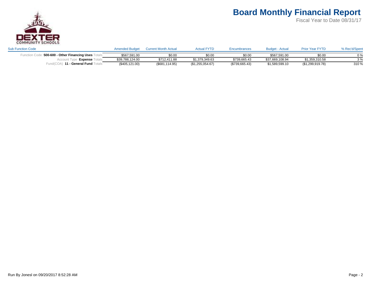

| <b>Sub Function Code</b>         | <b>Amended Budget</b> | <b>Current Month Actual</b> | <b>Actual FYTD</b> | Encumbrances   | <b>Budget - Actual</b> | <b>Prior Year FYTD</b> | % Rec'd/Spent |
|----------------------------------|-----------------------|-----------------------------|--------------------|----------------|------------------------|------------------------|---------------|
| 500-600 - Other Financing Uses ⊺ | \$567.591.00          | \$0.00                      | \$0.00             | \$0.00         | \$567.591.00           | \$0.00                 | $0\%$         |
| <b>Expense</b>                   | \$39,788,124.00       | \$712.411.88                | \$1.379.349.63     | \$739,665.43   | \$37,669,108.94        | \$1.359.310.58         | 3%            |
| 11 - General Fund                | (\$405, 121.00)       | (\$681, 114.95)             | (\$1,255,054.67)   | (\$739,665.43) | \$1,589,599.10         | (\$1,299,919.78)       | 310 %         |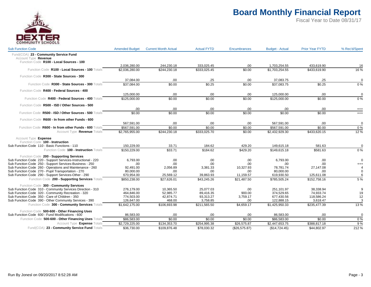

| <b>Sub Function Code</b>                                                         | <b>Amended Budget</b> | <b>Current Month Actual</b> | <b>Actual FYTD</b> | Encumbrances  | <b>Budget - Actual</b> | <b>Prior Year FYTD</b> | % Rec'd/Spent  |
|----------------------------------------------------------------------------------|-----------------------|-----------------------------|--------------------|---------------|------------------------|------------------------|----------------|
| Fund(COA) 23 - Community Service Fund                                            |                       |                             |                    |               |                        |                        |                |
| Account Type Revenue                                                             |                       |                             |                    |               |                        |                        |                |
| Function Code R100 - Local Sources - 100                                         |                       |                             |                    |               |                        |                        |                |
|                                                                                  | 2,036,280.00          | 244,230.18                  | 333,025.45         | .00           | 1,703,254.55           | 433,619.90             | 16             |
| Function Code R100 - Local Sources - 100 Totals                                  | \$2,036,280.00        | \$244,230.18                | \$333,025.45       | \$0.00        | \$1,703,254.55         | \$433,619.90           | 16 %           |
| Function Code R300 - State Sources - 300                                         |                       |                             |                    |               |                        |                        |                |
|                                                                                  | 37,084.00             | .00.                        | .25                | .00           | 37,083.75              | .25                    | $\Omega$       |
| Function Code R300 - State Sources - 300 Totals                                  | \$37,084.00           | \$0.00                      | \$0.25             | \$0.00        | \$37,083.75            | \$0.25                 | 0%             |
| Function Code R400 - Federal Sources - 400                                       |                       |                             |                    |               |                        |                        |                |
|                                                                                  | 125,000.00            | .00.                        | .00                | .00           | 125,000.00             | .00                    | $\Omega$       |
| Function Code R400 - Federal Sources - 400 Totals                                | \$125,000.00          | \$0.00                      | \$0.00             | \$0.00        | \$125,000.00           | \$0.00                 | $0\%$          |
| Function Code R500 - ISD / Other Sources - 500                                   |                       |                             |                    |               |                        |                        |                |
|                                                                                  | .00.                  | .00                         | .00                | .00           | .00                    | .00                    | $^{+++}$       |
| Function Code R500 - ISD / Other Sources - 500 Totals                            | \$0.00                | \$0.00                      | \$0.00             | \$0.00        | \$0.00                 | \$0.00                 | $^{+++}$       |
|                                                                                  |                       |                             |                    |               |                        |                        |                |
| Function Code R600 - In from other Funds - 600                                   | 567,591.00            | .00.                        | .00                | .00           | 567,591.00             | .00                    | $\overline{0}$ |
| Function Code R600 - In from other Funds - 600 Totals                            | \$567,591.00          | \$0.00                      | \$0.00             | \$0.00        | \$567,591.00           | \$0.00                 | 0%             |
| Account Type Revenue Totals                                                      | \$2,765,955.00        | \$244,230.18                | \$333,025.70       | \$0.00        | \$2,432,929.30         | \$433,620.15           | 12%            |
|                                                                                  |                       |                             |                    |               |                        |                        |                |
| Account Type Expense                                                             |                       |                             |                    |               |                        |                        |                |
| Function Code 100 - Instruction<br>Sub Function Code 110 - Basic Functions - 110 | 150,229.00            | 33.71                       | 184.62             | 429.20        | 149,615.18             | 581.63                 | $\mathbf 0$    |
| Function Code 100 - Instruction Totals                                           | \$150,229.00          | \$33.71                     | \$184.62           | \$429.20      | \$149,615.18           | \$581.63               | $0\%$          |
|                                                                                  |                       |                             |                    |               |                        |                        |                |
| Function Code 200 - Supporting Services                                          |                       |                             |                    |               |                        |                        |                |
| Sub Function Code 220 - Support Services-Instructional - 220                     | 6,793.00              | .00.                        | .00                | .00           | 6.793.00               | .00                    | $\mathbf 0$    |
| Sub Function Code 250 - Support Services-Business - 250                          | .00                   | .00                         | .00                | .00           | .00.                   | .00                    | $^{+++}$       |
| Sub Function Code 260 - Operations and Maintenance - 260                         | 92.491.00             | 2.056.89                    | 3,381.33           | 10.327.93     | 78.781.74              | 27.147.08              |                |
| Sub Function Code 270 - Pupil Transportation - 270                               | 80,000.00             | .00                         | .00                | .00           | 80,000.00              | .00                    | $\Omega$       |
| Sub Function Code 290 - Support Services-Other - 290                             | 670,954.00            | 25.569.12                   | 39,863.93          | 11,159.57     | 619,930.50             | 125,611.08             |                |
| Function Code 200 - Supporting Services Totals                                   | \$850,238.00          | \$27,626.01                 | \$43,245.26        | \$21,487.50   | \$785,505.24           | \$152,758.16           | 5 %            |
| Function Code 300 - Community Services                                           |                       |                             |                    |               |                        |                        |                |
| Sub Function Code 310 - Community Services Direction - 310                       | 276,179.00            | 10,365.50                   | 25,077.03          | .00           | 251,101.97             | 38,338.94              | 9              |
| Sub Function Code 320 - Community Recreation - 320                               | 464,846.00            | 52,985.77                   | 89,416.35          | 900.00        | 374,529.65             | 74,933.74              | 19             |
| Sub Function Code 350 - Care of Children - 350                                   | 774,503.00            | 42,874.71                   | 93,313.27          | 3,759.17      | 677,430.56             | 118,586.24             | 12             |
| Sub Function Code 390 - Other Community Services - 390                           | 126,647.00            | 468.00                      | 3,758.85           | .00.          | 122,888.15             | 3,618.47               | 3              |
| Function Code 300 - Community Services Totals                                    | \$1,642,175.00        | \$106,693.98                | \$211,565.50       | \$4,659.17    | \$1,425,950.33         | \$235,477.39           | 13%            |
| Function Code 500-600 - Other Financing Uses                                     |                       |                             |                    |               |                        |                        |                |
| Sub Function Code 600 - Fund Modifications - 600                                 | 86,583.00             | .00                         | .00                | .00           | 86,583.00              | .00                    | $\mathbf 0$    |
| Function Code 500-600 - Other Financing Uses Totals                              | \$86,583.00           | \$0.00                      | \$0.00             | \$0.00        | \$86,583.00            | \$0.00                 | 0%             |
| Account Type Expense Totals                                                      | \$2,729,225.00        | \$134,353.70                | \$254,995.38       | \$26,575.87   | \$2,447,653.75         | \$388,817.18           | 9%             |
| Fund(COA) 23 - Community Service Fund Totals                                     | \$36,730.00           | \$109,876.48                | \$78,030.32        | (\$26,575.87) | (\$14,724.45)          | \$44,802.97            | 212 %          |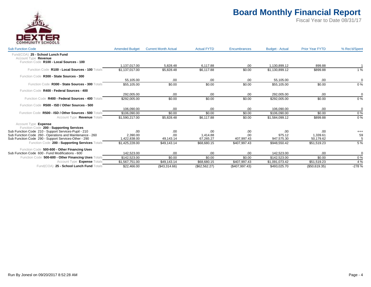

| <b>Sub Function Code</b>                                                                               | <b>Amended Budget</b>          | <b>Current Month Actual</b> | <b>Actual FYTD</b>    | <b>Encumbrances</b>        | <b>Budget - Actual</b>     | <b>Prior Year FYTD</b> | % Rec'd/Spent |
|--------------------------------------------------------------------------------------------------------|--------------------------------|-----------------------------|-----------------------|----------------------------|----------------------------|------------------------|---------------|
| Fund(COA) 25 - School Lunch Fund<br>Account Type Revenue                                               |                                |                             |                       |                            |                            |                        |               |
| Function Code R100 - Local Sources - 100                                                               | 1.137.017.00                   | 5.828.48                    | 6.117.88              | .00                        | 1.130.899.12               | 899.88                 |               |
| Function Code R100 - Local Sources - 100 Totals                                                        | \$1,137,017.00                 | \$5,828.48                  | \$6,117.88            | \$0.00                     | \$1,130,899.12             | \$899.88               | 1%            |
| Function Code R300 - State Sources - 300                                                               |                                |                             |                       |                            |                            |                        |               |
|                                                                                                        | 55.105.00                      | .00.                        | .00.                  | .00.                       | 55.105.00                  | .00                    | $\Omega$      |
| Function Code R300 - State Sources - 300 Totals                                                        | \$55,105.00                    | \$0.00                      | \$0.00                | \$0.00                     | \$55,105.00                | \$0.00                 | 0%            |
| Function Code R400 - Federal Sources - 400                                                             |                                |                             |                       |                            |                            |                        |               |
|                                                                                                        | 292.005.00                     | .00                         | .00.                  | .00.                       | 292.005.00                 | .00                    | $\Omega$      |
| Function Code R400 - Federal Sources - 400 Totals                                                      | \$292,005.00                   | \$0.00                      | \$0.00                | \$0.00                     | \$292,005.00               | \$0.00                 | 0%            |
| Function Code R500 - ISD / Other Sources - 500                                                         |                                |                             |                       |                            |                            |                        |               |
|                                                                                                        | 106.090.00                     | .00                         | .00.                  | .00                        | 106.090.00                 | .00                    | $\mathbf 0$   |
| Function Code R500 - ISD / Other Sources - 500 Totals                                                  | \$106,090.00                   | \$0.00                      | \$0.00                | \$0.00                     | \$106,090.00               | \$0.00                 | 0%            |
| Account Type Revenue Totals                                                                            | \$1,590,217.00                 | \$5,828.48                  | \$6,117.88            | \$0.00                     | \$1,584,099.12             | \$899.88               | 0%            |
| Account Type Expense                                                                                   |                                |                             |                       |                            |                            |                        |               |
| Function Code 200 - Supporting Services                                                                |                                |                             |                       |                            |                            |                        |               |
| Sub Function Code 210 - Support Services-Pupil - 210                                                   | .00                            | .00                         | .00                   | .00                        | .00                        | .00                    | $^{+++}$      |
| Sub Function Code 260 - Operations and Maintenance - 260                                               | 2.390.00                       | .00                         | 1.414.88<br>67.265.27 | .00                        | 975.12                     | 1,339.61<br>50.179.62  | 59            |
| Sub Function Code 290 - Support Services-Other - 290<br>Function Code 200 - Supporting Services Totals | 1,422,838.00<br>\$1,425,228.00 | 49,143.14<br>\$49.143.14    | \$68,680.15           | 407,997.43<br>\$407,997.43 | 947,575.30<br>\$948,550.42 | \$51,519.23            | 5 %           |
|                                                                                                        |                                |                             |                       |                            |                            |                        |               |
| Function Code 500-600 - Other Financing Uses                                                           |                                |                             |                       |                            |                            |                        |               |
| Sub Function Code 600 - Fund Modifications - 600                                                       | 142.523.00                     | .00                         | .00.                  | .00                        | 142.523.00                 | .00                    | $\Omega$      |
| Function Code 500-600 - Other Financing Uses Totals                                                    | \$142,523.00                   | \$0.00                      | \$0.00                | \$0.00                     | \$142,523.00               | \$0.00                 | 0%            |
| Account Type <b>Expense</b> Totals                                                                     | \$1,567,751.00                 | \$49,143.14                 | \$68,680.15           | \$407,997.43               | \$1,091,073.42             | \$51,519.23            | 4 %           |
| Fund(COA) 25 - School Lunch Fund Totals                                                                | \$22,466.00                    | (\$43,314.66)               | (\$62,562.27)         | (\$407,997.43)             | \$493,025.70               | (\$50,619.35)          | $-278%$       |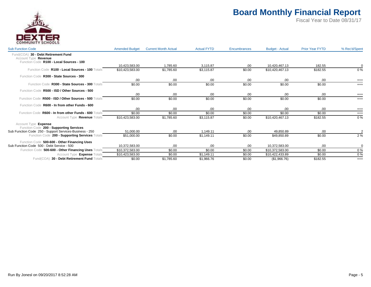

| <b>Sub Function Code</b>                                        | <b>Amended Budget</b> | <b>Current Month Actual</b> | <b>Actual FYTD</b> | <b>Encumbrances</b> | <b>Budget - Actual</b> | <b>Prior Year FYTD</b> | % Rec'd/Spent        |
|-----------------------------------------------------------------|-----------------------|-----------------------------|--------------------|---------------------|------------------------|------------------------|----------------------|
| 30 - Debt Retirement Fund<br>Fund(COA)<br>Account Type Revenue  |                       |                             |                    |                     |                        |                        |                      |
| Function Code R100 - Local Sources - 100                        | 10.423.583.00         | 1,785.60                    | 3.115.87           | .00                 | 10.420.467.13          | 182.55                 | $\Omega$             |
| Function Code R100 - Local Sources - 100 Totals                 | \$10,423,583.00       | \$1,785.60                  | \$3,115.87         | \$0.00              | \$10,420,467.13        | \$182.55               | 0%                   |
| Function Code R300 - State Sources - 300                        |                       |                             |                    |                     |                        |                        |                      |
| Function Code R300 - State Sources - 300 Totals                 | .00<br>\$0.00         | .00<br>\$0.00               | .00<br>\$0.00      | .00<br>\$0.00       | .00<br>\$0.00          | .00<br>\$0.00          | $^{+++}$<br>$^{+++}$ |
| Function Code R500 - ISD / Other Sources - 500                  |                       |                             |                    |                     |                        |                        |                      |
|                                                                 | .00                   | .00                         | .00                | .00                 | .00                    | .00                    | $^{+++}$             |
| Function Code R500 - ISD / Other Sources - 500 Totals           | \$0.00                | \$0.00                      | \$0.00             | \$0.00              | \$0.00                 | \$0.00                 | $^{+++}$             |
| Function Code R600 - In from other Funds - 600                  |                       |                             |                    |                     |                        |                        |                      |
|                                                                 | .00                   | .00                         | .00                | .00                 | .00                    | .00.                   | $^{+++}$             |
| Function Code R600 - In from other Funds - 600 Totals           | \$0.00                | \$0.00                      | \$0.00             | \$0.00              | \$0.00                 | \$0.00                 | $^{+++}$             |
| Account Type Revenue Totals                                     | \$10,423,583.00       | \$1,785.60                  | \$3,115.87         | \$0.00              | \$10,420,467.13        | \$182.55               | 0%                   |
| Account Type Expense<br>Function Code 200 - Supporting Services |                       |                             |                    |                     |                        |                        |                      |
| Sub Function Code 250 - Support Services-Business - 250         | 51,000.00             | 00.                         | 1,149.11           | .00                 | 49,850.89              | .00.                   |                      |
| Function Code 200 - Supporting Services Totals                  | \$51,000.00           | \$0.00                      | \$1,149.11         | \$0.00              | \$49,850.89            | \$0.00                 | 2%                   |
| Function Code 500-600 - Other Financing Uses                    |                       |                             |                    |                     |                        |                        |                      |
| Sub Function Code 500 - Debt Service - 500                      | 10,372,583.00         | .00                         | .00.               | .00                 | 10,372,583.00          | .00.                   | $\Omega$             |
| Function Code 500-600 - Other Financing Uses Totals             | \$10,372,583.00       | \$0.00                      | \$0.00             | \$0.00              | \$10,372,583.00        | \$0.00                 | 0%                   |
| Account Type Expense Totals                                     | \$10,423,583.00       | \$0.00                      | \$1,149.11         | \$0.00              | \$10,422,433.89        | \$0.00                 | 0%                   |
| Fund(COA) 30 - Debt Retirement Fund Totals                      | \$0.00                | \$1,785.60                  | \$1,966.76         | \$0.00              | (\$1,966.76)           | \$182.55               | $^{+++}$             |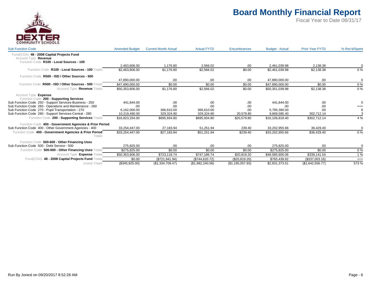

| <b>Sub Function Code</b>                                          | <b>Amended Budget</b> | <b>Current Month Actual</b> | <b>Actual FYTD</b> | <b>Encumbrances</b> | <b>Budget - Actual</b> | <b>Prior Year FYTD</b> | % Rec'd/Spent |
|-------------------------------------------------------------------|-----------------------|-----------------------------|--------------------|---------------------|------------------------|------------------------|---------------|
| Fund(COA) 48 - 2008 Capital Projects Fund<br>Account Type Revenue |                       |                             |                    |                     |                        |                        |               |
| Function Code R100 - Local Sources - 100                          |                       |                             |                    |                     |                        |                        |               |
|                                                                   | 2.463.606.00          | 1.176.80                    | 2.566.02           | .00                 | 2,461,039.98           | 2,138.38               | $\Omega$      |
| Function Code R100 - Local Sources - 100 Totals                   | \$2,463,606.00        | \$1,176.80                  | \$2,566.02         | \$0.00              | \$2,461,039.98         | \$2,138.38             | 0%            |
| Function Code R500 - ISD / Other Sources - 500                    |                       |                             |                    |                     |                        |                        |               |
|                                                                   | 47,890,000.00         | .00                         | .00                | .00                 | 47,890,000.00          | .00                    | 0             |
| Function Code R500 - ISD / Other Sources - 500 Totals             | \$47,890,000.00       | \$0.00                      | \$0.00             | \$0.00              | \$47,890,000.00        | \$0.00                 | $0\%$         |
| Account Type Revenue Totals                                       | \$50,353,606.00       | \$1,176.80                  | \$2,566.02         | \$0.00              | \$50,351,039.98        | \$2,138.38             | 0%            |
| Account Type Expense                                              |                       |                             |                    |                     |                        |                        |               |
| Function Code 200 - Supporting Services                           |                       |                             |                    |                     |                        |                        |               |
| Sub Function Code 250 - Support Services-Business - 250           | 441.844.00            | .00                         | .00                | .00                 | 441.844.00             | .00                    |               |
| Sub Function Code 260 - Operations and Maintenance - 260          | .00                   | .00                         | .00                | .00                 | .00                    | .00                    | $^{+++}$      |
| Sub Function Code 270 - Pupil Transportation - 270                | 6.162.000.00          | 366.610.00                  | 366.610.00         | .00                 | 5.795.390.00           | .00                    | -6            |
| Sub Function Code 280 - Support Services-Central - 280            | 10,219,490.00         | 329,324.80                  | 329,324.80         | 20,579.80           | 9.869.585.40           | 302.712.14             |               |
| Function Code 200 - Supporting Services Totals                    | \$16,823,334.00       | \$695.934.80                | \$695.934.80       | \$20.579.80         | \$16,106,819.40        | \$302.712.14           | 4 %           |
| Function Code 400 - Government Agencies & Prior Period            |                       |                             |                    |                     |                        |                        |               |
| Sub Function Code 400 - Other Government Agencies - 400           | 33,254,447.00         | 27,183.94                   | 51,251.94          | 239.40              | 33.202.955.66          | 36.429.40              | $\Omega$      |
| Function Code 400 - Government Agencies & Prior Period<br>Totals  | \$33.254.447.00       | \$27,183.94                 | \$51,251.94        | \$239.40            | \$33,202,955.66        | \$36,429.40            | $0\%$         |
|                                                                   |                       |                             |                    |                     |                        |                        |               |
| Function Code 500-600 - Other Financing Uses                      |                       |                             |                    |                     |                        |                        |               |
| Sub Function Code 500 - Debt Service - 500                        | 275,825.00            | .00                         | .00                | .00                 | 275,825.00             | .00.                   | $\Omega$      |
| Function Code 500-600 - Other Financing Uses Totals               | \$275.825.00          | \$0.00                      | \$0.00             | \$0.00              | \$275,825,00           | \$0.00                 | 0%            |
| Account Type Expense Totals                                       | \$50.353.606.00       | \$723,118.74                | \$747.186.74       | \$20.819.20         | \$49,585,600.06        | \$339.141.54           | 1%            |
| 48 - 2008 Capital Projects Fund Totals<br>Fund(COA)               | \$0.00                | (\$721,941.94)              | (\$744,620.72)     | (\$20,819.20)       | \$765,439.92           | (\$337,003.16)         | $^{+++}$      |
| <b>Grand Totals</b>                                               | (\$345,925.00)        | (\$1,334,709.47)            | (\$1,982,240.58)   | (\$1,195,057.93)    | \$2,831,373.51         | (\$1,642,556.77)       | 573 %         |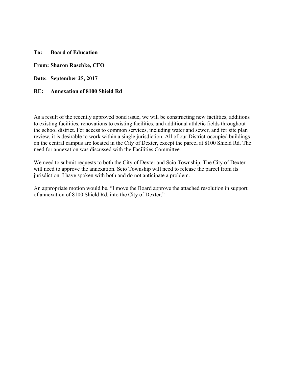**To: Board of Education** 

#### **From: Sharon Raschke, CFO**

**Date: September 25, 2017** 

#### **RE: Annexation of 8100 Shield Rd**

As a result of the recently approved bond issue, we will be constructing new facilities, additions to existing facilities, renovations to existing facilities, and additional athletic fields throughout the school district. For access to common services, including water and sewer, and for site plan review, it is desirable to work within a single jurisdiction. All of our District-occupied buildings on the central campus are located in the City of Dexter, except the parcel at 8100 Shield Rd. The need for annexation was discussed with the Facilities Committee.

We need to submit requests to both the City of Dexter and Scio Township. The City of Dexter will need to approve the annexation. Scio Township will need to release the parcel from its jurisdiction. I have spoken with both and do not anticipate a problem.

An appropriate motion would be, "I move the Board approve the attached resolution in support of annexation of 8100 Shield Rd. into the City of Dexter."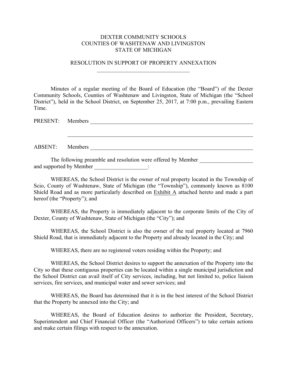#### DEXTER COMMUNITY SCHOOLS COUNTIES OF WASHTENAW AND LIVINGSTON STATE OF MICHIGAN

### RESOLUTION IN SUPPORT OF PROPERTY ANNEXATION  $\mathcal{L}$  , which is a set of the set of the set of the set of the set of the set of the set of the set of the set of the set of the set of the set of the set of the set of the set of the set of the set of the set of the s

Minutes of a regular meeting of the Board of Education (the "Board") of the Dexter Community Schools, Counties of Washtenaw and Livingston, State of Michigan (the "School District"), held in the School District, on September 25, 2017, at 7:00 p.m., prevailing Eastern Time.

PRESENT: Members

ABSENT: Members

The following preamble and resolution were offered by Member and supported by Member \_\_\_\_\_\_\_\_\_\_\_\_\_\_\_\_\_\_\_\_:

WHEREAS, the School District is the owner of real property located in the Township of Scio, County of Washtenaw, State of Michigan (the "Township"), commonly known as 8100 Shield Road and as more particularly described on Exhibit A attached hereto and made a part hereof (the "Property"); and

WHEREAS, the Property is immediately adjacent to the corporate limits of the City of Dexter, County of Washtenaw, State of Michigan (the "City"); and

WHEREAS, the School District is also the owner of the real property located at 7960 Shield Road, that is immediately adjacent to the Property and already located in the City; and

WHEREAS, there are no registered voters residing within the Property; and

WHEREAS, the School District desires to support the annexation of the Property into the City so that these contiguous properties can be located within a single municipal jurisdiction and the School District can avail itself of City services, including, but not limited to, police liaison services, fire services, and municipal water and sewer services; and

WHEREAS, the Board has determined that it is in the best interest of the School District that the Property be annexed into the City; and

WHEREAS, the Board of Education desires to authorize the President, Secretary, Superintendent and Chief Financial Officer (the "Authorized Officers") to take certain actions and make certain filings with respect to the annexation.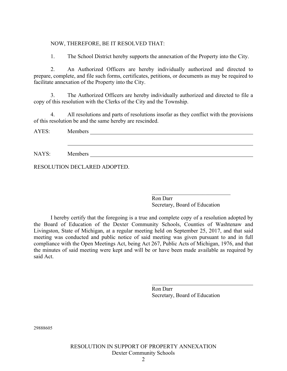## NOW, THEREFORE, BE IT RESOLVED THAT:

1. The School District hereby supports the annexation of the Property into the City.

2. An Authorized Officers are hereby individually authorized and directed to prepare, complete, and file such forms, certificates, petitions, or documents as may be required to facilitate annexation of the Property into the City.

3. The Authorized Officers are hereby individually authorized and directed to file a copy of this resolution with the Clerks of the City and the Township.

4. All resolutions and parts of resolutions insofar as they conflict with the provisions of this resolution be and the same hereby are rescinded.

AYES: Members

NAYS: Members

RESOLUTION DECLARED ADOPTED.

Ron Darr Secretary, Board of Education

 $\overline{\mathcal{L}}$  , and the set of the set of the set of the set of the set of the set of the set of the set of the set of the set of the set of the set of the set of the set of the set of the set of the set of the set of the s

I hereby certify that the foregoing is a true and complete copy of a resolution adopted by the Board of Education of the Dexter Community Schools, Counties of Washtenaw and Livingston, State of Michigan, at a regular meeting held on September 25, 2017, and that said meeting was conducted and public notice of said meeting was given pursuant to and in full compliance with the Open Meetings Act, being Act 267, Public Acts of Michigan, 1976, and that the minutes of said meeting were kept and will be or have been made available as required by said Act.

> Ron Darr Secretary, Board of Education

29888605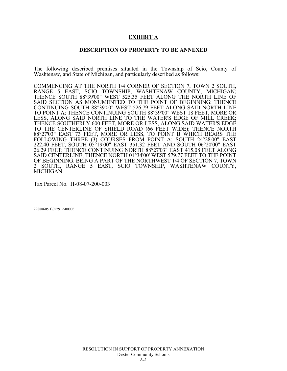### **EXHIBIT A**

#### **DESCRIPTION OF PROPERTY TO BE ANNEXED**

The following described premises situated in the Township of Scio, County of Washtenaw, and State of Michigan, and particularly described as follows:

COMMENCING AT THE NORTH 1/4 CORNER OF SECTION 7, TOWN 2 SOUTH, RANGE 5 EAST, SCIO TOWNSHIP, WASHTENAW COUNTY, MICHIGAN; THENCE SOUTH 88°39'00" WEST 525.35 FEET ALONG THE NORTH LINE OF SAID SECTION AS MONUMENTED TO THE POINT OF BEGINNING; THENCE CONTINUING SOUTH 88°39'00" WEST 526.79 FEET ALONG SAID NORTH LINE TO POINT A; THENCE CONTINUING SOUTH 88°39'00" WEST 18 FEET, MORE OR LESS, ALONG SAID NORTH LINE TO THE WATER'S EDGE OF MILL CREEK; THENCE SOUTHERLY 600 FEET, MORE OR LESS, ALONG SAID WATER'S EDGE TO THE CENTERLINE OF SHIELD ROAD (66 FEET WIDE); THENCE NORTH 88°27'03" EAST 73 FEET, MORE OR LESS, TO POINT B WHICH BEARS THE FOLLOWING THREE (3) COURSES FROM POINT A: SOUTH 24°28'00" EAST 222.40 FEET, SOUTH 05°19'00" EAST 351.32 FEET AND SOUTH 06°20'00" EAST 26.29 FEET; THENCE CONTINUING NORTH 88°27'03" EAST 415.08 FEET ALONG SAID CENTERLINE; THENCE NORTH 01°34'00' WEST 579.77 FEET TO THE POINT OF BEGINNING. BEING A PART OF THE NORTHWEST 1/4 OF SECTION 7, TOWN 2 SOUTH RANGE 5 EAST SCIO TOWNSHIP WASHTENAW COUNTY 2 SOUTH, RANGE 5 EAST, SCIO TOWNSHIP, WASHTENAW COUNTY, MICHIGAN.

Tax Parcel No. H-08-07-200-003

29888605.1\022912-00003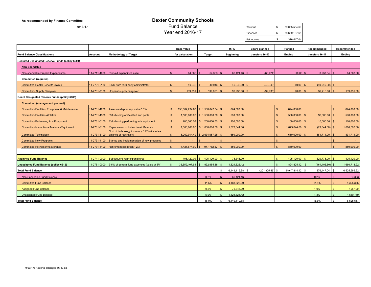| As recommended by Finance Committee             |              |                                                                         |               | <b>Dexter Community Schools</b>     |              |                    |         |                  |                      |     |                   |                            |                |              |
|-------------------------------------------------|--------------|-------------------------------------------------------------------------|---------------|-------------------------------------|--------------|--------------------|---------|------------------|----------------------|-----|-------------------|----------------------------|----------------|--------------|
| 9/13/17                                         |              | <b>Fund Balance</b>                                                     |               |                                     |              |                    | Revenue | \$.              | 39,035,554.69        |     |                   |                            |                |              |
|                                                 |              |                                                                         |               | Year end 2016-17                    |              |                    |         |                  | Expenses             | -S  | 38,659,107.65     |                            |                |              |
|                                                 |              |                                                                         |               |                                     |              |                    |         |                  | Net Income           | \$  | 376,447.04        |                            |                |              |
|                                                 |              |                                                                         |               | <b>Base value</b>                   |              |                    |         | 16-17            | <b>Board planned</b> |     | Planned           | Recommended                |                | Recommended  |
| <b>Fund Balance Classifications</b>             | Account      | <b>Methodology of Target</b>                                            |               | for calculation                     |              | <b>Target</b>      |         | <b>Beginning</b> | transfers 16-17      |     | Ending            | transfers 16-17            |                | Ending       |
| Required Designated Reserve Funds (policy 6604) |              |                                                                         |               |                                     |              |                    |         |                  |                      |     |                   |                            |                |              |
| Non-Spendable                                   |              |                                                                         |               |                                     |              |                    |         |                  |                      |     |                   |                            |                |              |
| Non-spendable-Prepaid Expenditures              | 11-2711-1000 | Prepaid expenditure asset                                               | $\mathcal{S}$ | 64,363                              |              | 64,363             |         | 60,424.46        | (60, 424)            |     | $$0.00$ \$        | 3,938.54                   |                | 64,363.00    |
| <b>Committed (required)</b>                     |              |                                                                         |               |                                     |              |                    |         |                  |                      |     |                   |                            |                |              |
| <b>Committed-Health Benefits Claims</b>         | 11-2731-2130 | <b>IBNR</b> from third party administrator                              |               | 40,946                              |              | $40,946$ \$        |         | $40,946.00$ \$   | (40, 946)            |     | $$0.00$ \ \$      | $(40,946.00)$ \$           |                |              |
| Committed- Supply Carryover                     | 11-2731-7100 | Unspent supply carryover                                                |               | 139,651                             |              | 139,651            |         | $99,935.00$ \$   | (99, 935)            |     | $$0.00$ \ \$      | 39,716.00                  | - \$           | 139,651.00   |
| Board Designated Reserve Funds (policy 6605)    |              |                                                                         |               |                                     |              |                    |         |                  |                      |     |                   |                            |                |              |
| <b>Committed (management planned)</b>           |              |                                                                         |               |                                     |              |                    |         |                  |                      |     |                   |                            |                |              |
| Committed-Facilities, Equipment & Maintenance   | 11-2731-1200 | Assets undeprec repl value * 1%                                         |               | 158,004,234.00 \$ 1,580,042.34 \$   |              |                    |         | 874,000.00       |                      | \$. | 874,000.00        |                            | $\mathbf{S}$   | 874,000.00   |
| <b>Committed-Facilities Athletics</b>           | 11-2731-1300 | Refurbishing artifical turf and pools                                   | $\mathcal{R}$ | $1,500,000.00$ \$ $1,500,000.00$ \$ |              |                    |         | 500,000.00       |                      |     | $500,000.00$ \$   | 90,000.00                  | $\mathcal{S}$  | 590,000.00   |
| <b>Committed-Performing Arts Equipment</b>      | 11-2731-5100 | Refurbishing performing arts equipment                                  | $\mathbf{s}$  | 200,000.00                          |              | $$200,000.00$ \ \$ |         | 100,000.00       |                      |     | $100,000.00$ \$   | 10,000.00                  | - \$           | 110,000.00   |
| Committed-Instructional Materials/Equipment     | 11-2731-3100 | <b>Replacement of Instructional Materials</b>                           | $\mathbb{S}$  | $1,000,000.00$ \$ 1,000,000.00 \$   |              |                    |         | 1,073,644.00     |                      |     | $1,073,644.00$ \$ | (73, 644.00)               | - \$           | 1,000,000.00 |
| Committed-Technology                            | 11-2731-8100 | Cost of technology inventory * 50% (includes<br>balance of restitution) |               | 5,269,914.49 \$ 2,634,957.25        |              |                    |         | 650,000.00       |                      |     | 650,000.00        | 181,714.00                 | -96            | 831,714.00   |
| <b>Committed-New Programs</b>                   | 11-2731-4100 | Startup and implementation of new programs                              |               |                                     | $\mathbf{s}$ |                    | - \$    |                  |                      |     |                   |                            | £.             |              |
| Committed-Retirement/Severance                  | 11-2731-6100 | Retirement obligation * 2/3                                             |               | 1,421,674.00                        |              | \$947,782.67       |         | 850,000.00       |                      |     | 850,000.00        |                            |                | 850,000.00   |
|                                                 |              |                                                                         |               |                                     |              |                    |         |                  |                      |     |                   |                            |                |              |
| <b>Assigned Fund Balance</b>                    | 11-2741-0000 | Subsequent year expenditures                                            | \$.           | 405,120.00                          | $\mathbb{S}$ | $405,120.00$ \$    |         | 75,345.00        |                      | \$. | 405,120.00        | $\mathbf{s}$<br>329,775.00 | $\mathbf{s}$   | 405,120.00   |
| <b>Unassigned Fund Balance (policy 6612)</b>    | 11-2751-0000 | 3-5% of general fund expenses (value at 5%)                             |               | 38,659,107.65 \$1,932,955.38        |              |                    |         | 1,824,825.42     |                      |     | 1,824,825.42 \$   | $(164, 106.50)$ \$         |                | 1,660,718.92 |
| <b>Total Fund Balance</b>                       |              |                                                                         |               |                                     |              |                    |         | 6,149,119.88     | $(201, 305.46)$ \$   |     | 5,947,814.42 \$   | 376,447.04                 | \$             | 6,525,566.92 |
| Non-Spendable Fund Balance                      |              |                                                                         |               |                                     |              | 0.2%               |         | 60,424.46        |                      |     |                   | 0.2%                       |                | 64,363       |
| <b>Committed Fund Balance</b>                   |              |                                                                         |               |                                     |              | 11.5%              |         | 4,188,525.00     |                      |     |                   | 11.4%                      | $\mathcal{F}$  | 4,395,365    |
| <b>Assigned Fund Balance</b>                    |              |                                                                         |               |                                     |              | 0.2%               |         | 75,345.00        |                      |     |                   | 1.0%                       | $\mathbb{S}$   | 405,120      |
| <b>Unassigned Fund Balance</b>                  |              |                                                                         |               |                                     |              | 5.0%               |         | 1,824,825.42     |                      |     |                   | 4.3%                       | $\mathfrak{L}$ | 1,660,719    |
| <b>Total Fund Balance</b>                       |              |                                                                         |               |                                     |              | 16.9%              |         | 6,149,119.88     |                      |     |                   | 16.9%                      | \$             | 6,525,567    |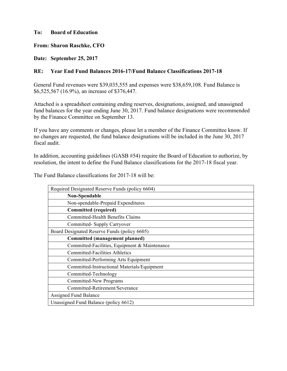### **To: Board of Education**

**From: Sharon Raschke, CFO** 

**Date: September 25, 2017** 

## **RE: Year End Fund Balances 2016-17/Fund Balance Classifications 2017-18**

General Fund revenues were \$39,035,555 and expenses were \$38,659,108. Fund Balance is \$6,525,567 (16.9%), an increase of \$376,447.

Attached is a spreadsheet containing ending reserves, designations, assigned, and unassigned fund balances for the year ending June 30, 2017. Fund balance designations were recommended by the Finance Committee on September 13.

If you have any comments or changes, please let a member of the Finance Committee know. If no changes are requested, the fund balance designations will be included in the June 30, 2017 fiscal audit.

In addition, accounting guidelines (GASB #54) require the Board of Education to authorize, by resolution, the intent to define the Fund Balance classifications for the 2017-18 fiscal year.

The Fund Balance classifications for 2017-18 will be:

| Required Designated Reserve Funds (policy 6604) |
|-------------------------------------------------|
| Non-Spendable                                   |
| Non-spendable-Prepaid Expenditures              |
| <b>Committed (required)</b>                     |
| Committed-Health Benefits Claims                |
| Committed- Supply Carryover                     |
| Board Designated Reserve Funds (policy 6605)    |
| <b>Committed (management planned)</b>           |
| Committed-Facilities, Equipment & Maintenance   |
| <b>Committed-Facilities Athletics</b>           |
| Committed-Performing Arts Equipment             |
| Committed-Instructional Materials/Equipment     |
| Committed-Technology                            |
| <b>Committed-New Programs</b>                   |
| Committed-Retirement/Severance                  |
| <b>Assigned Fund Balance</b>                    |
| Unassigned Fund Balance (policy 6612)           |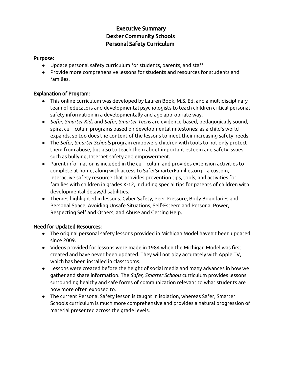## Executive Summary Dexter Community Schools Personal Safety Curriculum

## Purpose:

- Update personal safety curriculum for students, parents, and staff.
- Provide more comprehensive lessons for students and resources for students and families.

## Explanation of Program:

- This online curriculum was developed by Lauren Book, M.S. Ed, and a multidisciplinary team of educators and developmental psychologists to teach children critical personal safety information in a developmentally and age appropriate way.
- *Safer, Smarter Kids* and *Safer, Smarter Teens* are evidence-based, pedagogically sound, spiral curriculum programs based on developmental milestones; as a child's world expands, so too does the content of the lessons to meet their increasing safety needs.
- The *Safer, Smarter Schools* program empowers children with tools to not only protect them from abuse, but also to teach them about important esteem and safety issues such as bullying, Internet safety and empowerment.
- Parent information is included in the curriculum and provides extension activities to complete at home, along with access to SaferSmarterFamilies.org – a custom, interactive safety resource that provides prevention tips, tools, and activities for families with children in grades K-12, including special tips for parents of children with developmental delays/disabilities.
- Themes highlighted in lessons: Cyber Safety, Peer Pressure, Body Boundaries and Personal Space, Avoiding Unsafe Situations, Self-Esteem and Personal Power, Respecting Self and Others, and Abuse and Getting Help.

## Need for Updated Resources:

- The original personal safety lessons provided in Michigan Model haven't been updated since 2009.
- Videos provided for lessons were made in 1984 when the Michigan Model was first created and have never been updated. They will not play accurately with Apple TV, which has been installed in classrooms.
- Lessons were created before the height of social media and many advances in how we gather and share information. The *Safer, Smarter Schools* curriculum provides lessons surrounding healthy and safe forms of communication relevant to what students are now more often exposed to.
- The current Personal Safety lesson is taught in isolation, whereas Safer, Smarter Schools curriculum is much more comprehensive and provides a natural progression of material presented across the grade levels.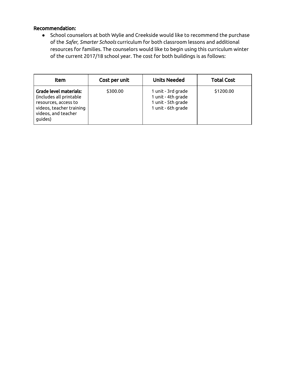## Recommendation:

● School counselors at both Wylie and Creekside would like to recommend the purchase of the *Safer, Smarter Schools* curriculum for both classroom lessons and additional resources for families. The counselors would like to begin using this curriculum winter of the current 2017/18 school year. The cost for both buildings is as follows:

| ltem                                                                                                                                    | Cost per unit | <b>Units Needed</b>                                                                  | <b>Total Cost</b> |
|-----------------------------------------------------------------------------------------------------------------------------------------|---------------|--------------------------------------------------------------------------------------|-------------------|
| Grade level materials:<br>(includes all printable<br>resources, access to<br>videos, teacher training<br>videos, and teacher<br>guides) | \$300.00      | 1 unit - 3rd grade<br>1 unit - 4th grade<br>1 unit - 5th grade<br>1 unit - 6th grade | \$1200.00         |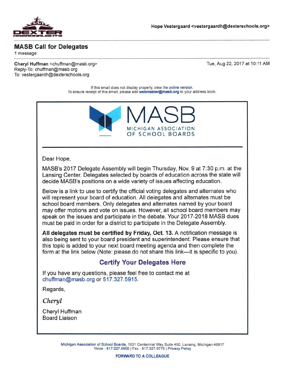

## **MASB Call for Delegates**

1 message

Cheryl Huffman <chuffman@masb.org> Reply-To: chuffman@masb.org To: vestergaardh@dexterschools.org

Tue, Aug 22, 2017 at 10:11 AM

If this email does not display properly, view the online version. To ensure receipt of this email, please add webmaster@masb.org to your address book.



#### Dear Hope,

MASB's 2017 Delegate Assembly will begin Thursday, Nov. 9 at 7:30 p.m. at the Lansing Center. Delegates selected by boards of education across the state will decide MASB's positions on a wide variety of issues affecting education.

Below is a link to use to certify the official voting delegates and alternates who will represent your board of education. All delegates and alternates must be school board members. Only delegates and alternates named by your board may offer motions and vote on issues. However, all school board members may speak on the issues and participate in the debate. Your 2017-2018 MASB dues must be paid in order for a district to participate in the Delegate Assembly.

All delegates must be certified by Friday, Oct. 13. A notification message is also being sent to your board president and superintendent. Please ensure that this topic is added to your next board meeting agenda and then complete the form at the link below (Note: please do not share this link—it is specific to you).

## **Certify Your Delegates Here**

If you have any questions, please feel free to contact me at chuffman@masb.org or 517,327.5915.

Regards.

Cheryl

Cheryl Huffman **Board Liaison** 

> Michigan Association of School Boards, 1001 Centennial Way Suite 400, Lansing, Michigan 48917 Voice - 517.327.5900 | Fax - 517.327.0775 | Privacy Policy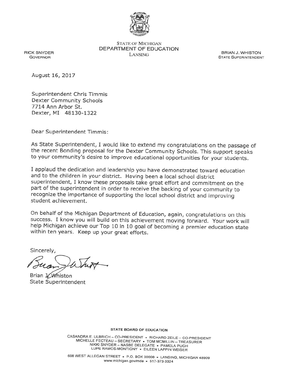

**STATE OF MICHIGAN** DEPARTMENT OF EDUCATION **LANSING** 

**BRIAN J. WHISTON STATE SUPERINTENDENT** 

**RICK SNYDER GOVERNOR** 

August 16, 2017

Superintendent Chris Timmis **Dexter Community Schools** 7714 Ann Arbor St. Dexter, MI 48130-1322

Dear Superintendent Timmis:

As State Superintendent, I would like to extend my congratulations on the passage of the recent Bonding proposal for the Dexter Community Schools. This support speaks to your community's desire to improve educational opportunities for your students.

I applaud the dedication and leadership you have demonstrated toward education and to the children in your district. Having been a local school district superintendent, I know these proposals take great effort and commitment on the part of the superintendent in order to receive the backing of your community to recognize the importance of supporting the local school district and improving student achievement

On behalf of the Michigan Department of Education, again, congratulations on this success. I know you will build on this achievement moving forward. Your work will help Michigan achieve our Top 10 in 10 goal of becoming a premier education state within ten years. Keep up your great efforts.

Sincerely,

Brian J. Whiston State Superintendent

**STATE BOARD OF EDUCATION** 

CASANDRA E. ULBRICH - CO-PRESIDENT • RICHARD ZEILE - CO-PRESIDENT MICHELLE FECTEAU - SECRETARY • TOM MCMILLIN - TREASURER NIKKI SNYDER - NASBE DELEGATE · PAMELA PUGH LUPE RAMOS-MONTIGNY . EILEEN LAPPIN WEISER